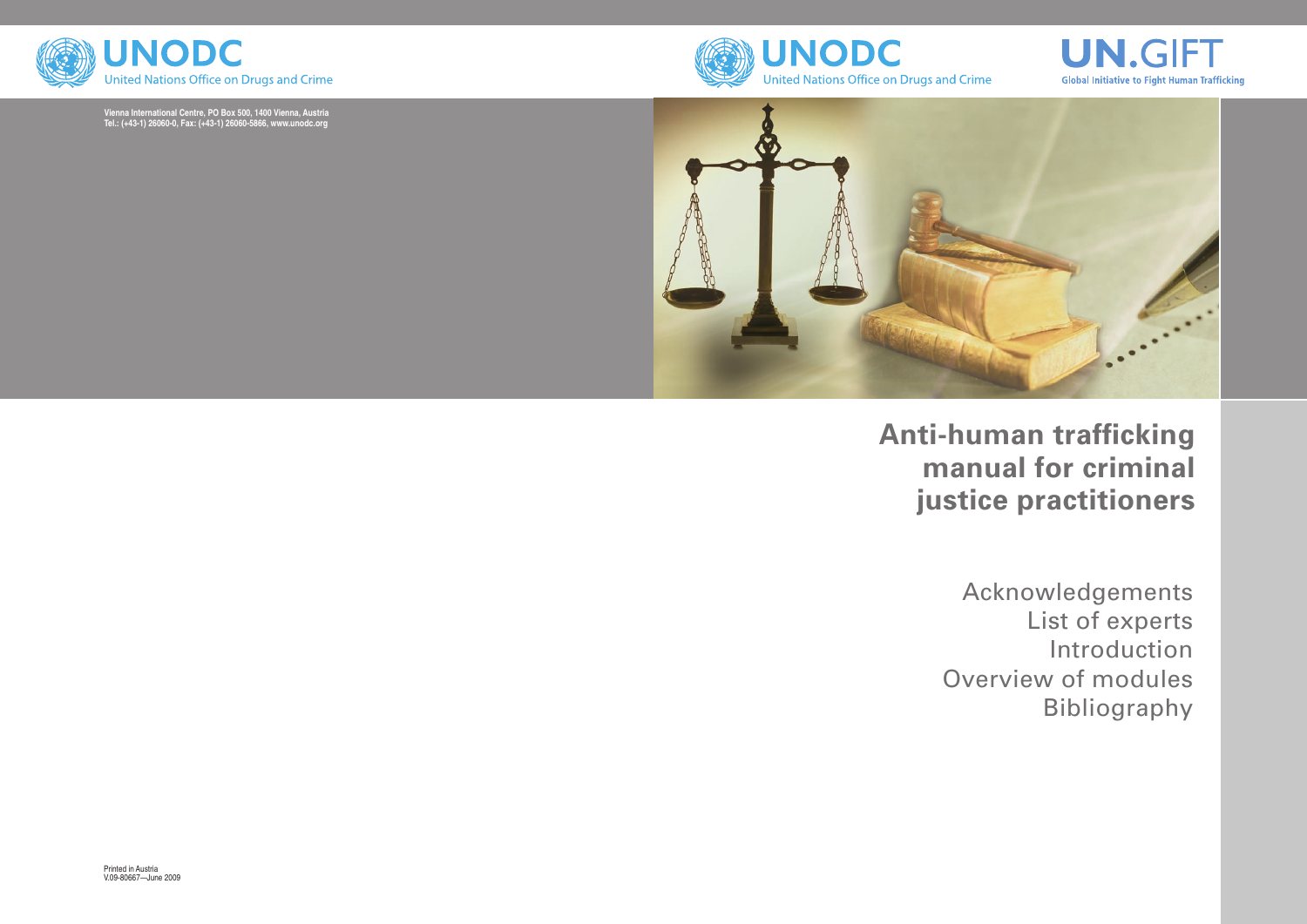





# **Anti-human trafficking manual for criminal justice practitioners**

Acknowledgements List of experts Introduction Overview of modules Bibliography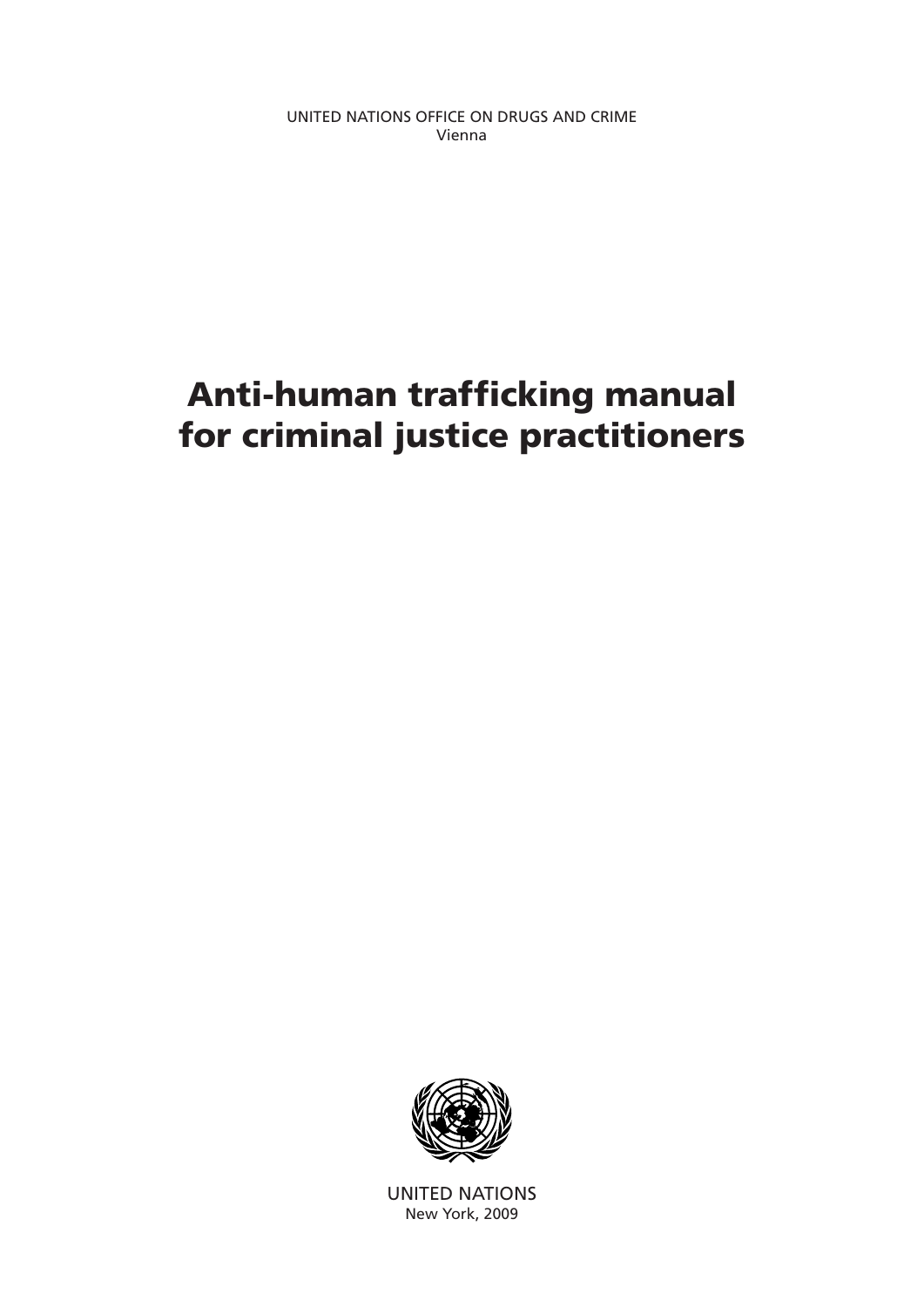UNITED NATIONS OFFICE ON DRUGS AND CRIME Vienna

# Anti-human trafficking manual for criminal justice practitioners



UNITED NATIONS New York, 2009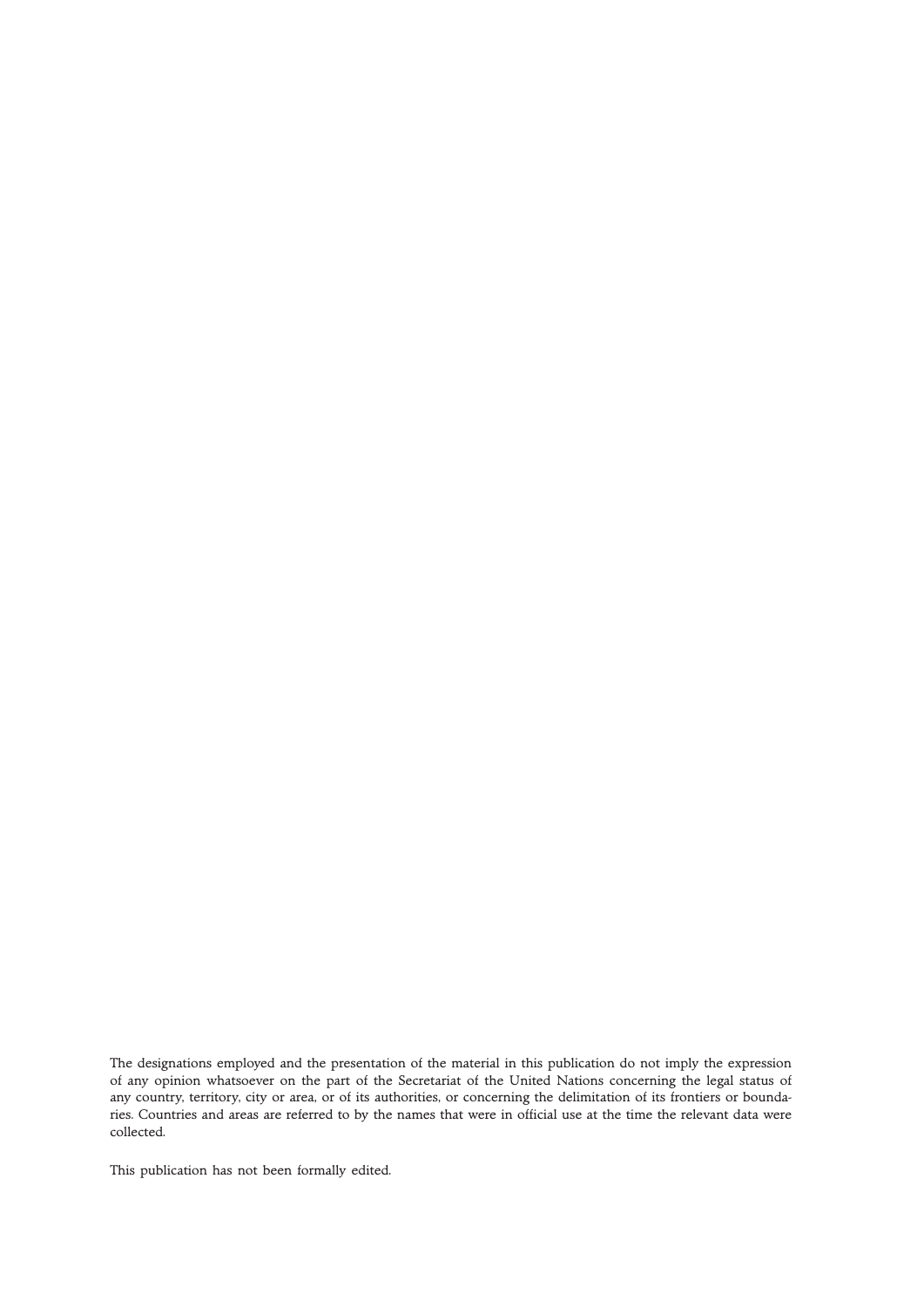The designations employed and the presentation of the material in this publication do not imply the expression of any opinion whatsoever on the part of the Secretariat of the United Nations concerning the legal status of any country, territory, city or area, or of its authorities, or concerning the delimitation of its frontiers or boundaries. Countries and areas are referred to by the names that were in official use at the time the relevant data were collected.

This publication has not been formally edited.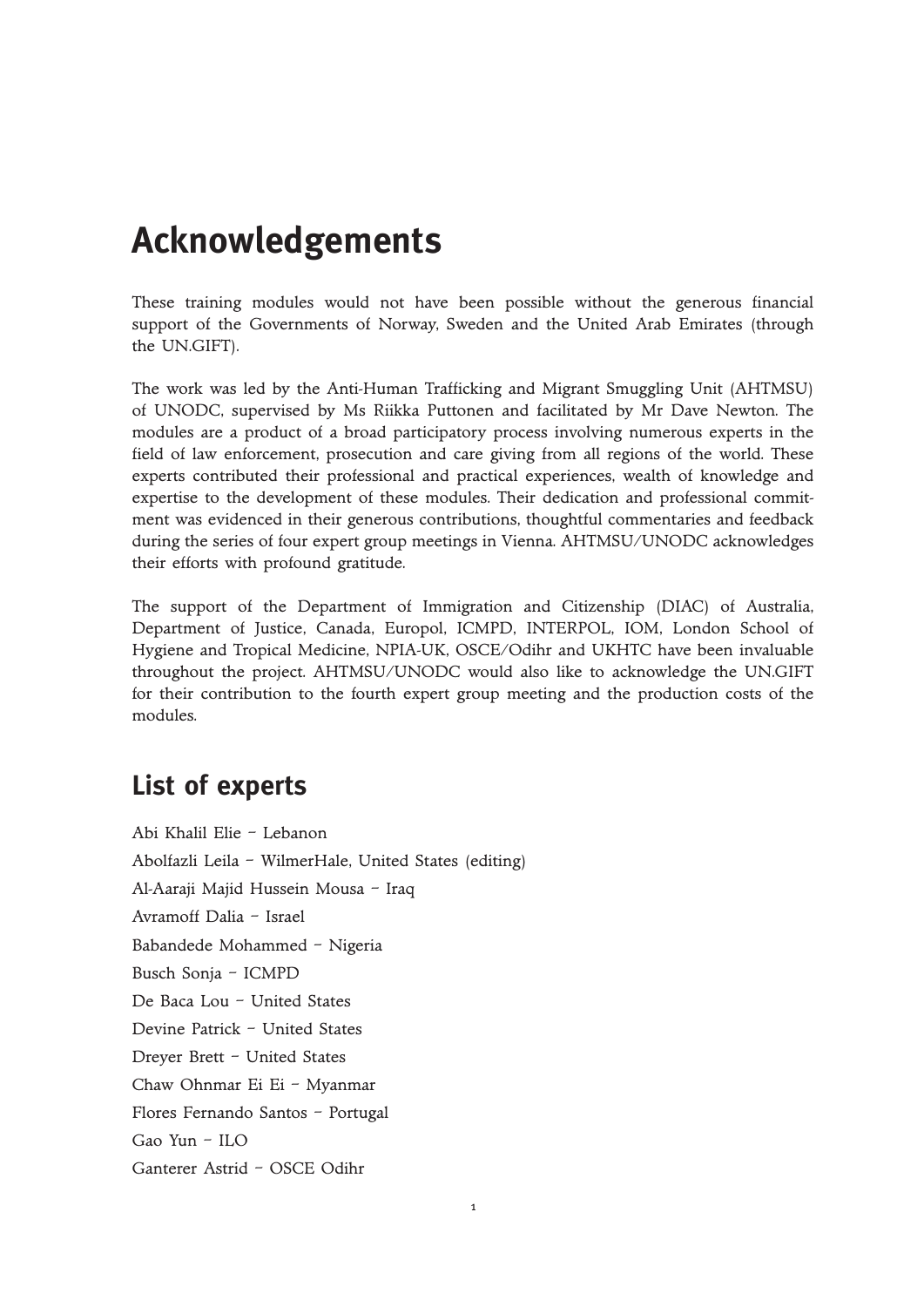# **Acknowledgements**

These training modules would not have been possible without the generous financial support of the Governments of Norway, Sweden and the United Arab Emirates (through the UN.GIFT).

The work was led by the Anti-Human Trafficking and Migrant Smuggling Unit (AHTMSU) of UNODC, supervised by Ms Riikka Puttonen and facilitated by Mr Dave Newton. The modules are a product of a broad participatory process involving numerous experts in the field of law enforcement, prosecution and care giving from all regions of the world. These experts contributed their professional and practical experiences, wealth of knowledge and expertise to the development of these modules. Their dedication and professional commitment was evidenced in their generous contributions, thoughtful commentaries and feedback during the series of four expert group meetings in Vienna. AHTMSU/UNODC acknowledges their efforts with profound gratitude.

The support of the Department of Immigration and Citizenship (DIAC) of Australia, Department of Justice, Canada, Europol, ICMPD, INTERPOL, IOM, London School of Hygiene and Tropical Medicine, NPIA-UK, OSCE/Odihr and UKHTC have been invaluable throughout the project. AHTMSU/UNODC would also like to acknowledge the UN.GIFT for their contribution to the fourth expert group meeting and the production costs of the modules.

## **List of experts**

Abi Khalil Elie – Lebanon Abolfazli Leila – WilmerHale, United States (editing) Al-Aaraji Majid Hussein Mousa – Iraq Avramoff Dalia – Israel Babandede Mohammed – Nigeria Busch Sonja – ICMPD De Baca Lou – United States Devine Patrick – United States Dreyer Brett – United States Chaw Ohnmar Ei Ei – Myanmar Flores Fernando Santos – Portugal Gao Yun – ILO Ganterer Astrid – OSCE Odihr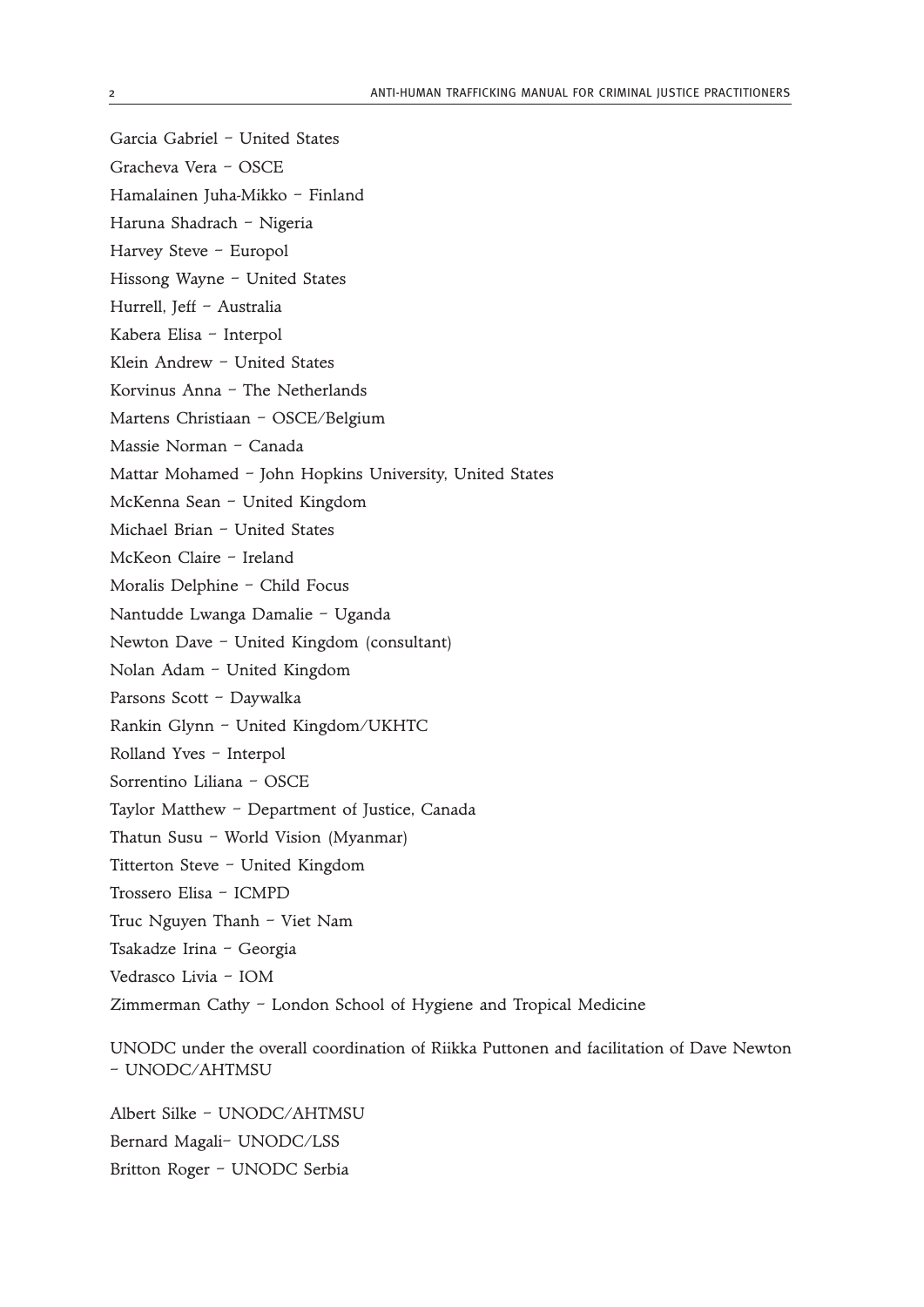- Garcia Gabriel United States
- Gracheva Vera OSCE
- Hamalainen Juha-Mikko Finland
- Haruna Shadrach Nigeria
- Harvey Steve Europol
- Hissong Wayne United States
- Hurrell, Jeff Australia
- Kabera Elisa Interpol
- Klein Andrew United States
- Korvinus Anna The Netherlands
- Martens Christiaan OSCE/Belgium
- Massie Norman Canada
- Mattar Mohamed John Hopkins University, United States
- McKenna Sean United Kingdom
- Michael Brian United States
- McKeon Claire Ireland
- Moralis Delphine Child Focus
- Nantudde Lwanga Damalie Uganda
- Newton Dave United Kingdom (consultant)
- Nolan Adam United Kingdom
- Parsons Scott Daywalka
- Rankin Glynn United Kingdom/UKHTC
- Rolland Yves Interpol
- Sorrentino Liliana OSCE
- Taylor Matthew Department of Justice, Canada
- Thatun Susu World Vision (Myanmar)
- Titterton Steve United Kingdom
- Trossero Elisa ICMPD
- Truc Nguyen Thanh Viet Nam
- Tsakadze Irina Georgia
- Vedrasco Livia IOM
- Zimmerman Cathy London School of Hygiene and Tropical Medicine

UNODC under the overall coordination of Riikka Puttonen and facilitation of Dave Newton – UNODC/AHTMSU

Albert Silke – UNODC/AHTMSU Bernard Magali– UNODC/LSS Britton Roger – UNODC Serbia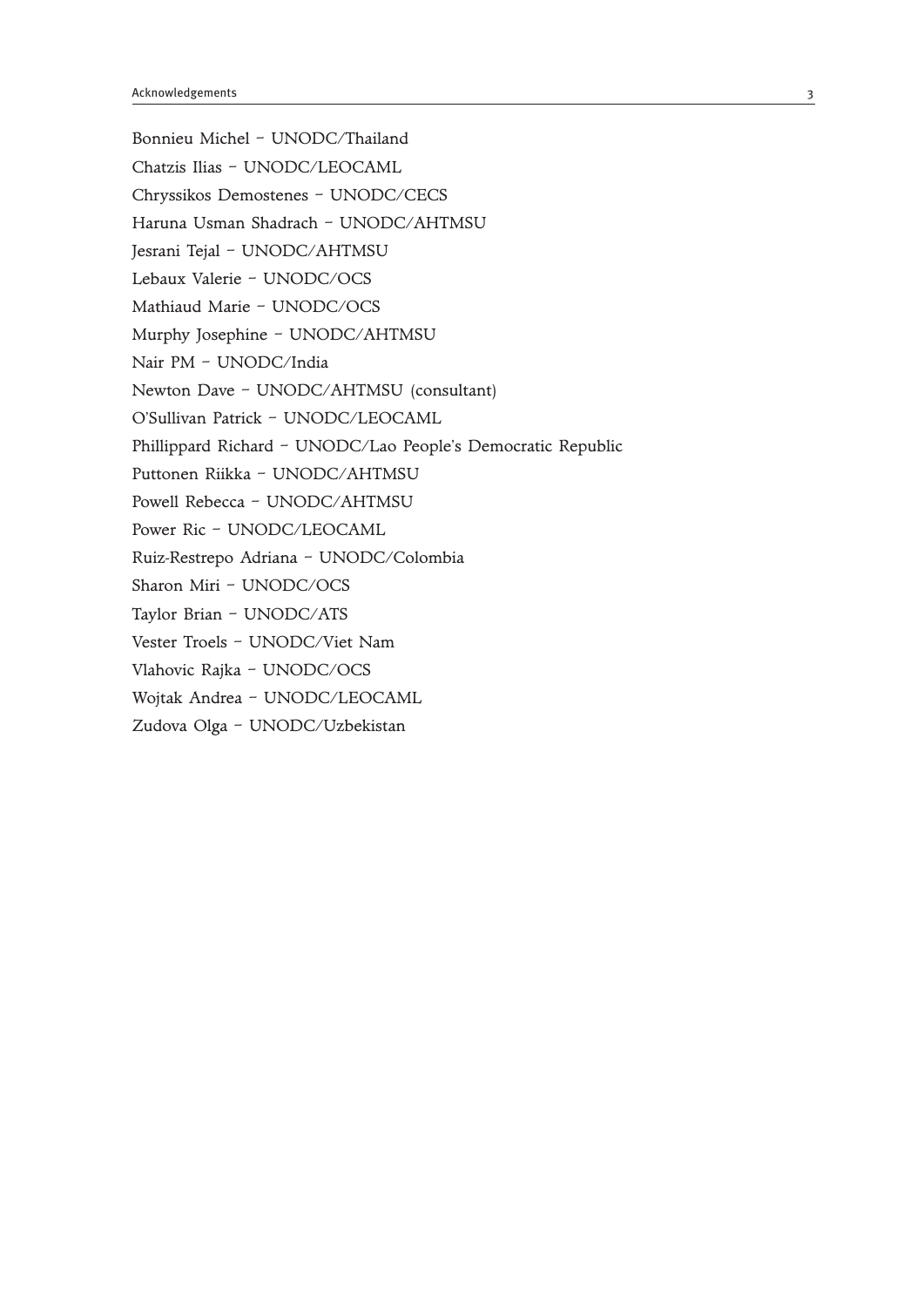Bonnieu Michel – UNODC/Thailand Chatzis Ilias – UNODC/LEOCAML Chryssikos Demostenes – UNODC/CECS Haruna Usman Shadrach – UNODC/AHTMSU Jesrani Tejal – UNODC/AHTMSU Lebaux Valerie – UNODC/OCS Mathiaud Marie – UNODC/OCS Murphy Josephine – UNODC/AHTMSU Nair PM – UNODC/India Newton Dave – UNODC/AHTMSU (consultant) O'Sullivan Patrick – UNODC/LEOCAML Phillippard Richard – UNODC/Lao People's Democratic Republic Puttonen Riikka – UNODC/AHTMSU Powell Rebecca – UNODC/AHTMSU Power Ric – UNODC/LEOCAML Ruiz-Restrepo Adriana – UNODC/Colombia Sharon Miri – UNODC/OCS Taylor Brian – UNODC/ATS Vester Troels – UNODC/Viet Nam Vlahovic Rajka – UNODC/OCS Wojtak Andrea – UNODC/LEOCAML Zudova Olga – UNODC/Uzbekistan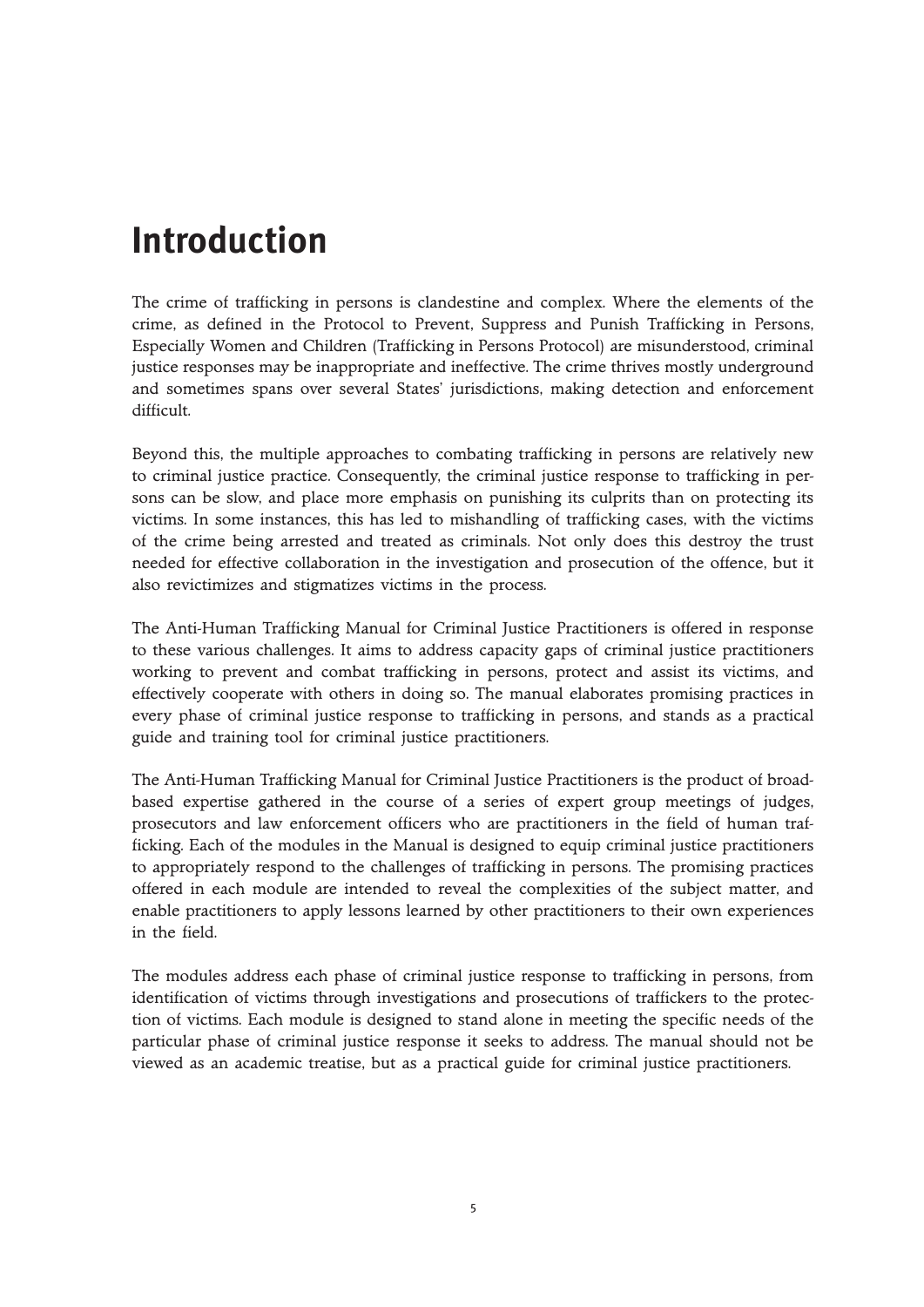# **Introduction**

The crime of trafficking in persons is clandestine and complex. Where the elements of the crime, as defined in the Protocol to Prevent, Suppress and Punish Trafficking in Persons, Especially Women and Children (Trafficking in Persons Protocol) are misunderstood, criminal justice responses may be inappropriate and ineffective. The crime thrives mostly underground and sometimes spans over several States' jurisdictions, making detection and enforcement difficult.

Beyond this, the multiple approaches to combating trafficking in persons are relatively new to criminal justice practice. Consequently, the criminal justice response to trafficking in persons can be slow, and place more emphasis on punishing its culprits than on protecting its victims. In some instances, this has led to mishandling of trafficking cases, with the victims of the crime being arrested and treated as criminals. Not only does this destroy the trust needed for effective collaboration in the investigation and prosecution of the offence, but it also revictimizes and stigmatizes victims in the process.

The Anti-Human Trafficking Manual for Criminal Justice Practitioners is offered in response to these various challenges. It aims to address capacity gaps of criminal justice practitioners working to prevent and combat trafficking in persons, protect and assist its victims, and effectively cooperate with others in doing so. The manual elaborates promising practices in every phase of criminal justice response to trafficking in persons, and stands as a practical guide and training tool for criminal justice practitioners.

The Anti-Human Trafficking Manual for Criminal Justice Practitioners is the product of broadbased expertise gathered in the course of a series of expert group meetings of judges, prosecutors and law enforcement officers who are practitioners in the field of human trafficking. Each of the modules in the Manual is designed to equip criminal justice practitioners to appropriately respond to the challenges of trafficking in persons. The promising practices offered in each module are intended to reveal the complexities of the subject matter, and enable practitioners to apply lessons learned by other practitioners to their own experiences in the field.

The modules address each phase of criminal justice response to trafficking in persons, from identification of victims through investigations and prosecutions of traffickers to the protection of victims. Each module is designed to stand alone in meeting the specific needs of the particular phase of criminal justice response it seeks to address. The manual should not be viewed as an academic treatise, but as a practical guide for criminal justice practitioners.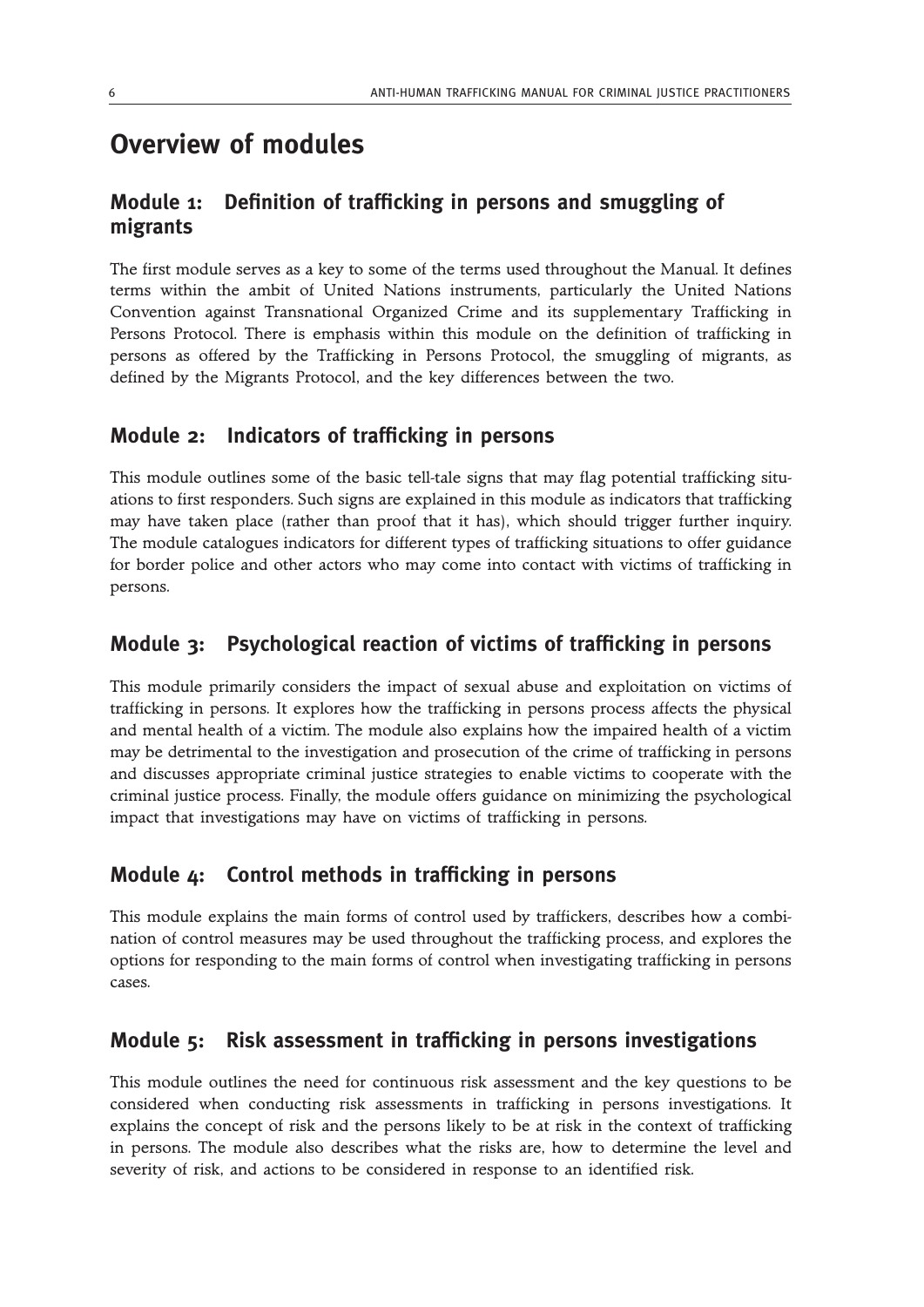## **Overview of modules**

## **Module 1: Definition of trafficking in persons and smuggling of migrants**

The first module serves as a key to some of the terms used throughout the Manual. It defines terms within the ambit of United Nations instruments, particularly the United Nations Convention against Transnational Organized Crime and its supplementary Trafficking in Persons Protocol. There is emphasis within this module on the definition of trafficking in persons as offered by the Trafficking in Persons Protocol, the smuggling of migrants, as defined by the Migrants Protocol, and the key differences between the two.

### **Module 2: Indicators of trafficking in persons**

This module outlines some of the basic tell-tale signs that may flag potential trafficking situations to first responders. Such signs are explained in this module as indicators that trafficking may have taken place (rather than proof that it has), which should trigger further inquiry. The module catalogues indicators for different types of trafficking situations to offer guidance for border police and other actors who may come into contact with victims of trafficking in persons.

### **Module 3: Psychological reaction of victims of trafficking in persons**

This module primarily considers the impact of sexual abuse and exploitation on victims of trafficking in persons. It explores how the trafficking in persons process affects the physical and mental health of a victim. The module also explains how the impaired health of a victim may be detrimental to the investigation and prosecution of the crime of trafficking in persons and discusses appropriate criminal justice strategies to enable victims to cooperate with the criminal justice process. Finally, the module offers guidance on minimizing the psychological impact that investigations may have on victims of trafficking in persons.

### **Module 4: Control methods in trafficking in persons**

This module explains the main forms of control used by traffickers, describes how a combination of control measures may be used throughout the trafficking process, and explores the options for responding to the main forms of control when investigating trafficking in persons cases.

### **Module 5: Risk assessment in trafficking in persons investigations**

This module outlines the need for continuous risk assessment and the key questions to be considered when conducting risk assessments in trafficking in persons investigations. It explains the concept of risk and the persons likely to be at risk in the context of trafficking in persons. The module also describes what the risks are, how to determine the level and severity of risk, and actions to be considered in response to an identified risk.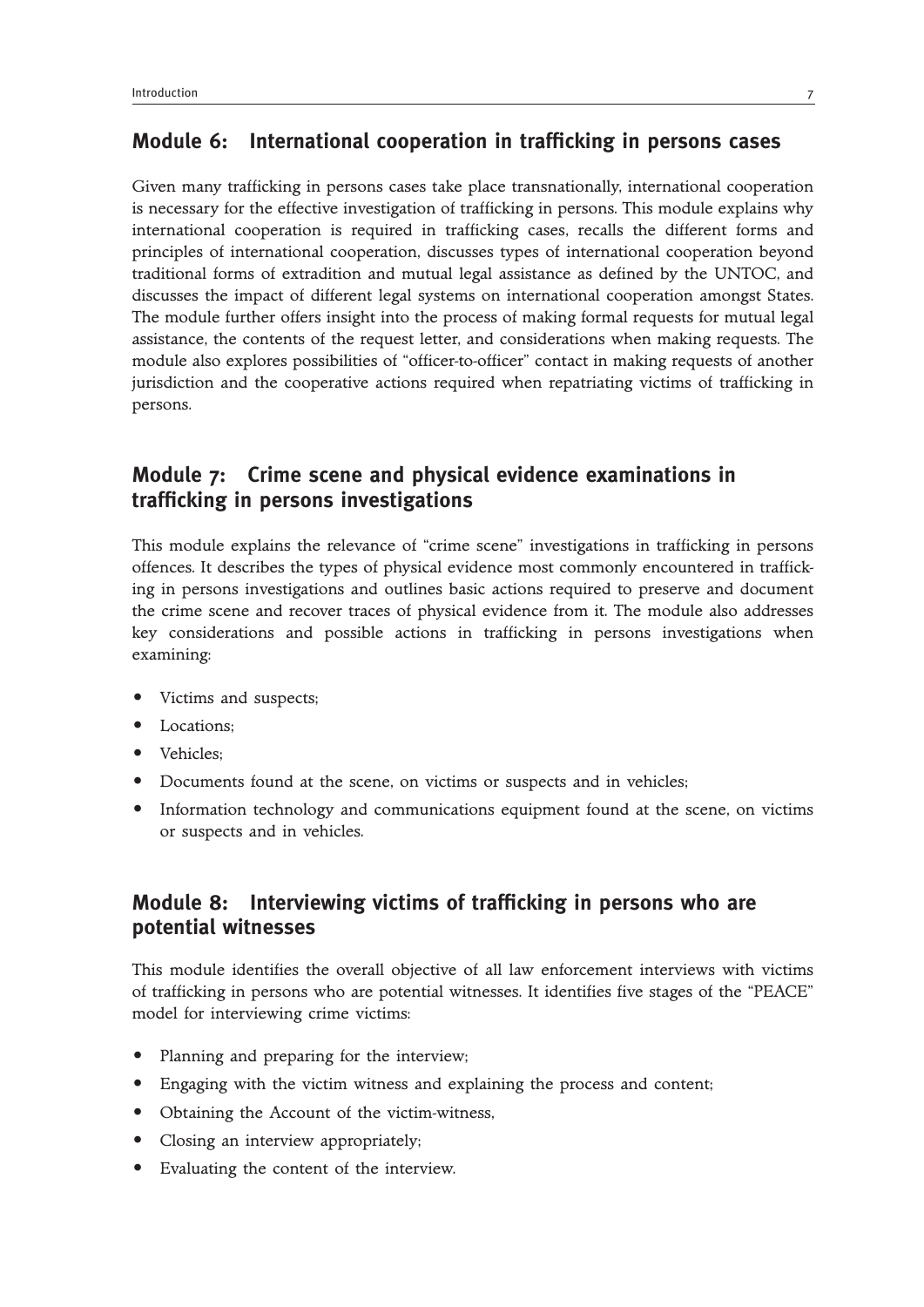### **Module 6: International cooperation in trafficking in persons cases**

Given many trafficking in persons cases take place transnationally, international cooperation is necessary for the effective investigation of trafficking in persons. This module explains why international cooperation is required in trafficking cases, recalls the different forms and principles of international cooperation, discusses types of international cooperation beyond traditional forms of extradition and mutual legal assistance as defined by the UNTOC, and discusses the impact of different legal systems on international cooperation amongst States. The module further offers insight into the process of making formal requests for mutual legal assistance, the contents of the request letter, and considerations when making requests. The module also explores possibilities of "officer-to-officer" contact in making requests of another jurisdiction and the cooperative actions required when repatriating victims of trafficking in persons.

## **Module 7: Crime scene and physical evidence examinations in trafficking in persons investigations**

This module explains the relevance of "crime scene" investigations in trafficking in persons offences. It describes the types of physical evidence most commonly encountered in trafficking in persons investigations and outlines basic actions required to preserve and document the crime scene and recover traces of physical evidence from it. The module also addresses key considerations and possible actions in trafficking in persons investigations when examining:

- Victims and suspects;
- Locations:
- Vehicles:
- Documents found at the scene, on victims or suspects and in vehicles;
- Information technology and communications equipment found at the scene, on victims or suspects and in vehicles.

## **Module 8: Interviewing victims of trafficking in persons who are potential witnesses**

This module identifies the overall objective of all law enforcement interviews with victims of trafficking in persons who are potential witnesses. It identifies five stages of the "PEACE" model for interviewing crime victims:

- Planning and preparing for the interview;
- Engaging with the victim witness and explaining the process and content;
- Obtaining the Account of the victim-witness,
- Closing an interview appropriately;
- Evaluating the content of the interview.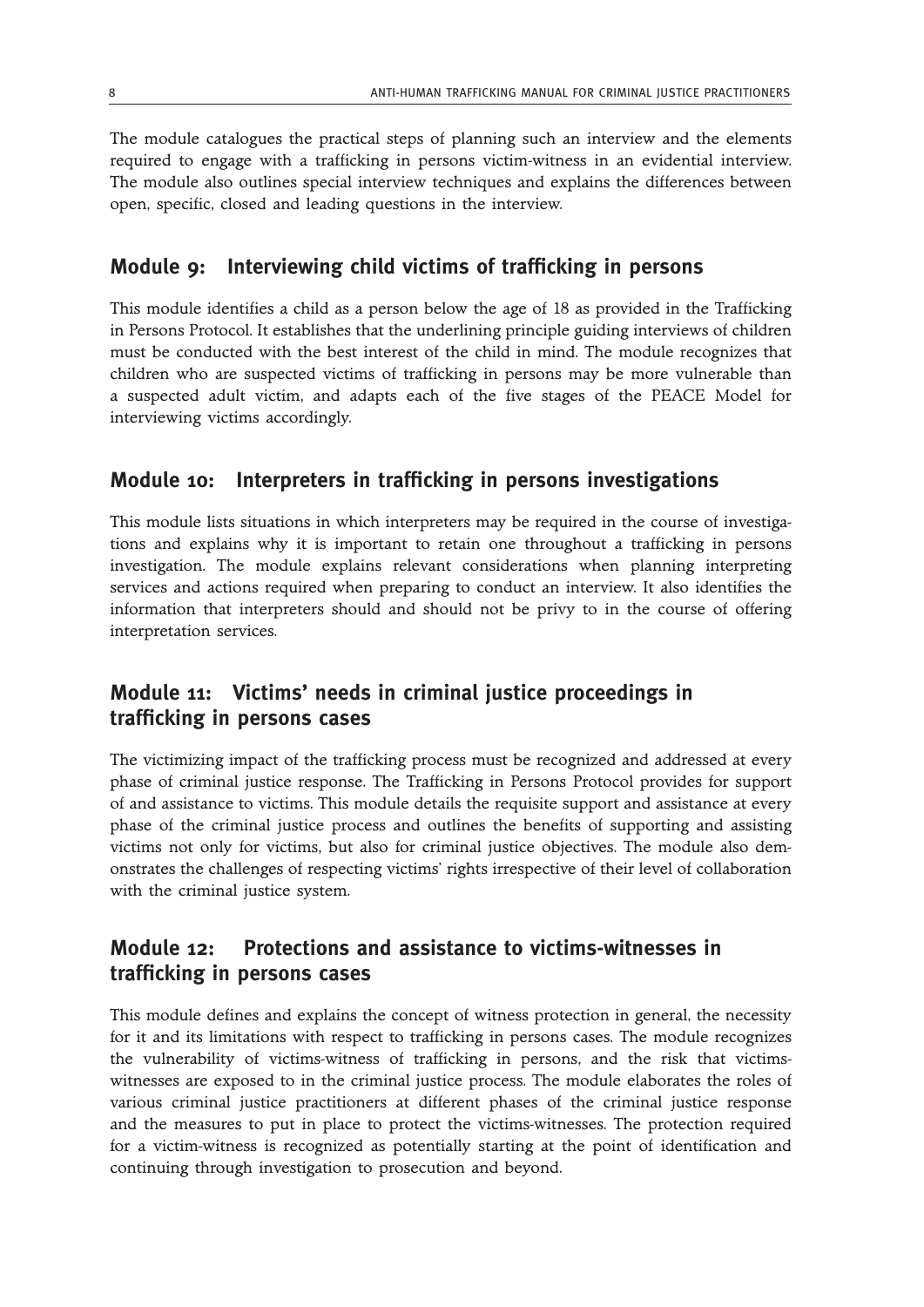The module catalogues the practical steps of planning such an interview and the elements required to engage with a trafficking in persons victim-witness in an evidential interview. The module also outlines special interview techniques and explains the differences between open, specific, closed and leading questions in the interview.

## **Module 9: Interviewing child victims of trafficking in persons**

This module identifies a child as a person below the age of 18 as provided in the Trafficking in Persons Protocol. It establishes that the underlining principle guiding interviews of children must be conducted with the best interest of the child in mind. The module recognizes that children who are suspected victims of trafficking in persons may be more vulnerable than a suspected adult victim, and adapts each of the five stages of the PEACE Model for interviewing victims accordingly.

## **Module 10: Interpreters in trafficking in persons investigations**

This module lists situations in which interpreters may be required in the course of investigations and explains why it is important to retain one throughout a trafficking in persons investigation. The module explains relevant considerations when planning interpreting services and actions required when preparing to conduct an interview. It also identifies the information that interpreters should and should not be privy to in the course of offering interpretation services.

## **Module 11: Victims' needs in criminal justice proceedings in trafficking in persons cases**

The victimizing impact of the trafficking process must be recognized and addressed at every phase of criminal justice response. The Trafficking in Persons Protocol provides for support of and assistance to victims. This module details the requisite support and assistance at every phase of the criminal justice process and outlines the benefits of supporting and assisting victims not only for victims, but also for criminal justice objectives. The module also demonstrates the challenges of respecting victims' rights irrespective of their level of collaboration with the criminal justice system.

## **Module 12: Protections and assistance to victims-witnesses in trafficking in persons cases**

This module defines and explains the concept of witness protection in general, the necessity for it and its limitations with respect to trafficking in persons cases. The module recognizes the vulnerability of victims-witness of trafficking in persons, and the risk that victimswitnesses are exposed to in the criminal justice process. The module elaborates the roles of various criminal justice practitioners at different phases of the criminal justice response and the measures to put in place to protect the victims-witnesses. The protection required for a victim-witness is recognized as potentially starting at the point of identification and continuing through investigation to prosecution and beyond.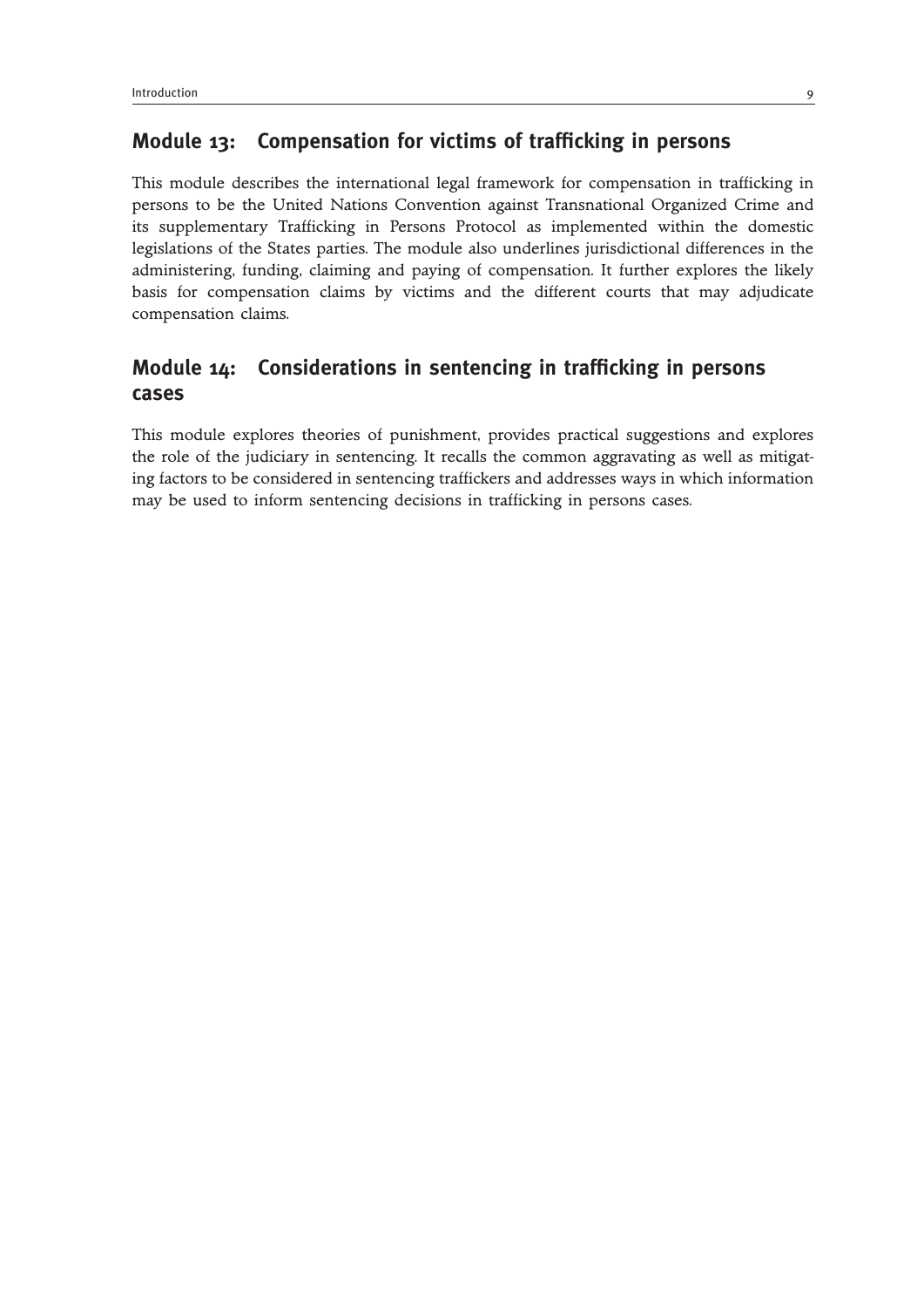## **Module 13: Compensation for victims of trafficking in persons**

This module describes the international legal framework for compensation in trafficking in persons to be the United Nations Convention against Transnational Organized Crime and its supplementary Trafficking in Persons Protocol as implemented within the domestic legislations of the States parties. The module also underlines jurisdictional differences in the administering, funding, claiming and paying of compensation. It further explores the likely basis for compensation claims by victims and the different courts that may adjudicate compensation claims.

## **Module 14: Considerations in sentencing in trafficking in persons cases**

This module explores theories of punishment, provides practical suggestions and explores the role of the judiciary in sentencing. It recalls the common aggravating as well as mitigating factors to be considered in sentencing traffickers and addresses ways in which information may be used to inform sentencing decisions in trafficking in persons cases.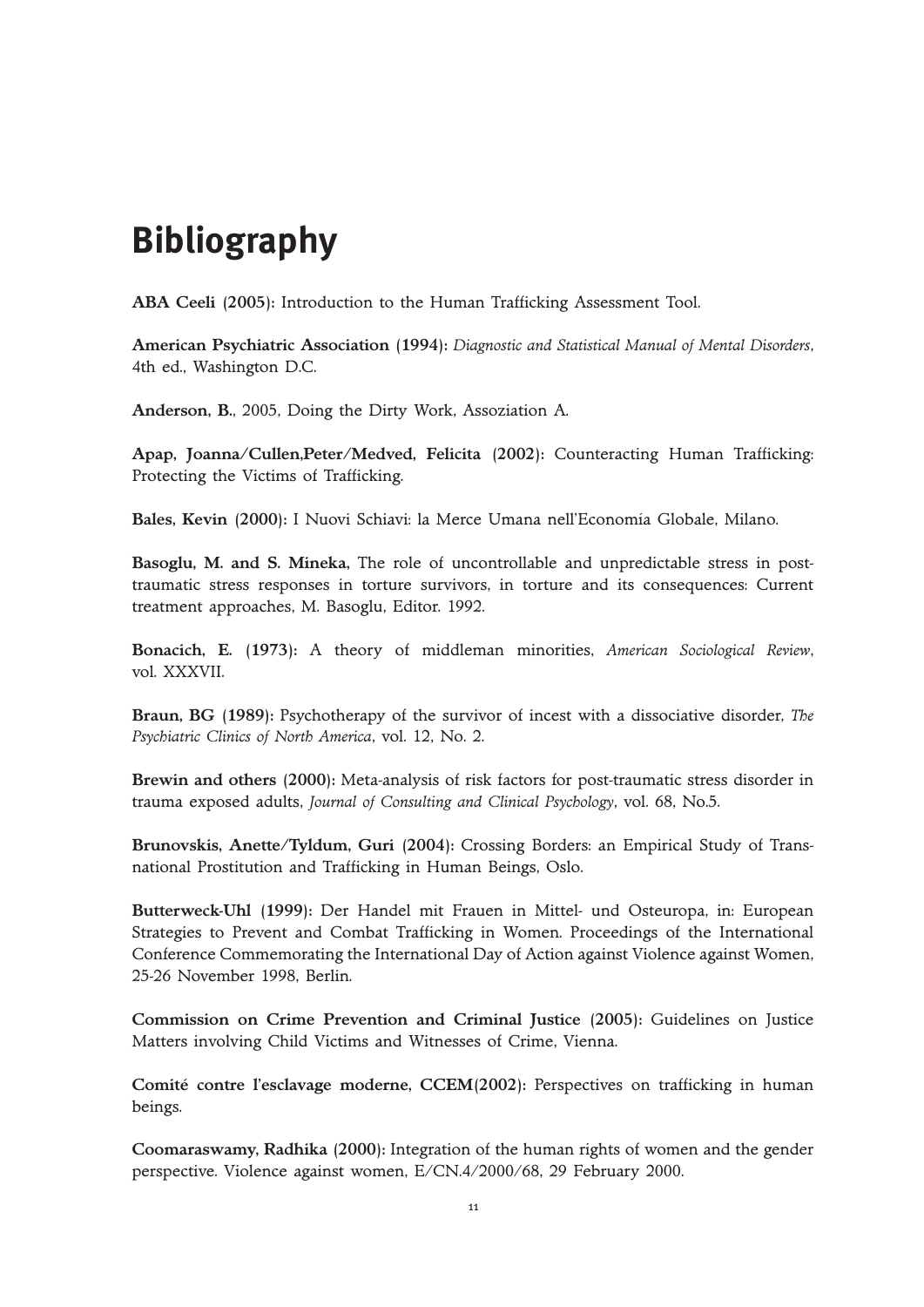# **Bibliography**

**ABA Ceeli (2005):** Introduction to the Human Trafficking Assessment Tool.

**American Psychiatric Association (1994):** *Diagnostic and Statistical Manual of Mental Disorders*, 4th ed., Washington D.C.

**Anderson, B.**, 2005, Doing the Dirty Work, Assoziation A.

**Apap, Joanna/Cullen,Peter/Medved, Felicita (2002):** Counteracting Human Trafficking: Protecting the Victims of Trafficking.

**Bales, Kevin (2000):** I Nuovi Schiavi: la Merce Umana nell'Economía Globale, Milano.

**Basoglu, M. and S. Mineka,** The role of uncontrollable and unpredictable stress in posttraumatic stress responses in torture survivors, in torture and its consequences: Current treatment approaches, M. Basoglu, Editor. 1992.

**Bonacich, E. (1973):** A theory of middleman minorities, *American Sociological Review*, vol. XXXVII.

**Braun, BG (1989):** Psychotherapy of the survivor of incest with a dissociative disorder, *The Psychiatric Clinics of North America*, vol. 12, No. 2.

**Brewin and others (2000):** Meta-analysis of risk factors for post-traumatic stress disorder in trauma exposed adults, *Journal of Consulting and Clinical Psychology*, vol. 68, No.5.

**Brunovskis, Anette/Tyldum, Guri (2004):** Crossing Borders: an Empirical Study of Transnational Prostitution and Trafficking in Human Beings, Oslo.

**Butterweck-Uhl (1999):** Der Handel mit Frauen in Mittel- und Osteuropa, in: European Strategies to Prevent and Combat Trafficking in Women. Proceedings of the International Conference Commemorating the International Day of Action against Violence against Women, 25-26 November 1998, Berlin.

**Commission on Crime Prevention and Criminal Justice (2005):** Guidelines on Justice Matters involving Child Victims and Witnesses of Crime, Vienna.

**Comité contre l'esclavage moderne, CCEM(2002):** Perspectives on trafficking in human beings.

**Coomaraswamy, Radhika (2000):** Integration of the human rights of women and the gender perspective. Violence against women, E/CN.4/2000/68, 29 February 2000.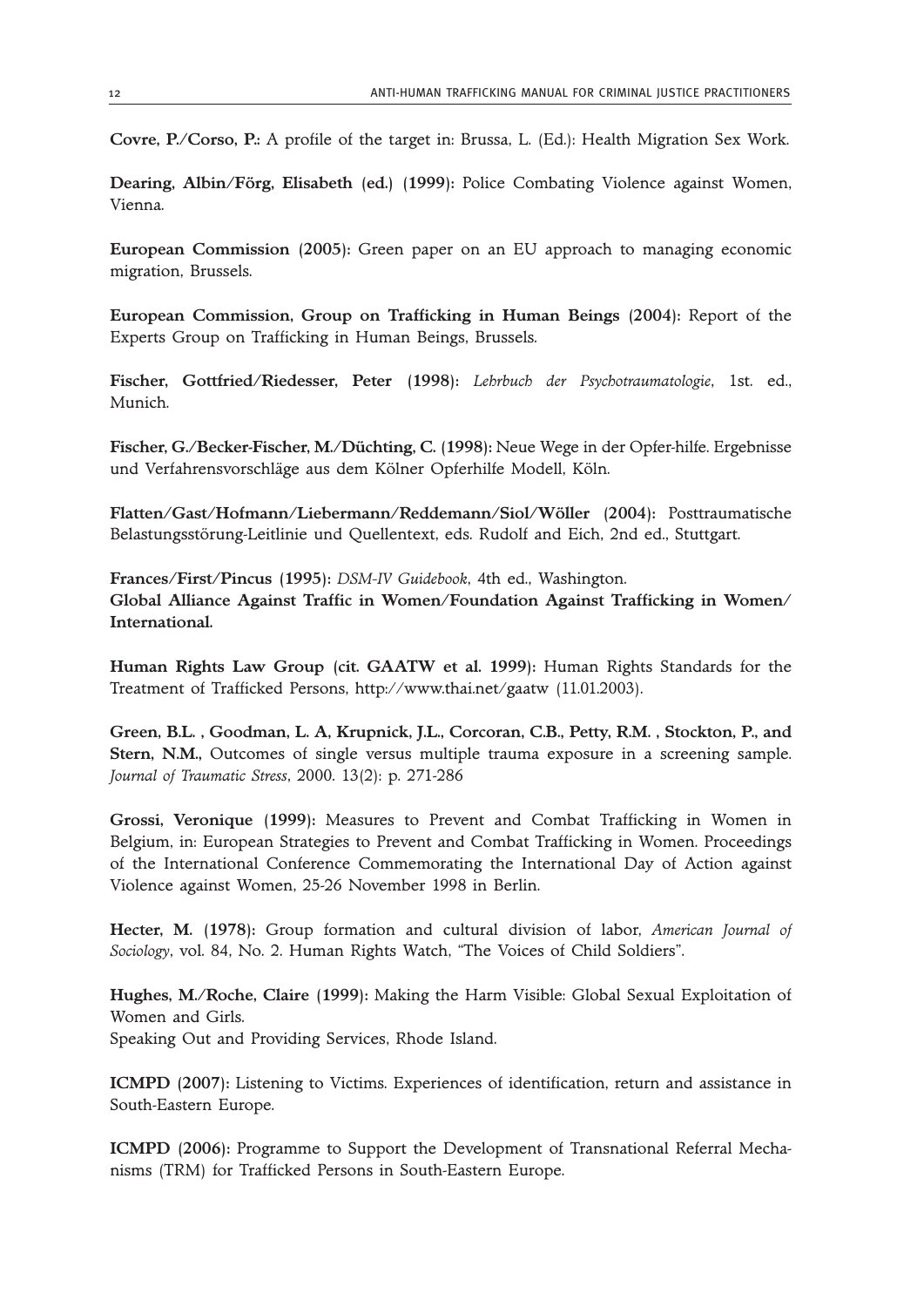**Covre, P./Corso, P.:** A profile of the target in: Brussa, L. (Ed.): Health Migration Sex Work.

**Dearing, Albin/Förg, Elisabeth (ed.) (1999):** Police Combating Violence against Women, Vienna.

**European Commission (2005):** Green paper on an EU approach to managing economic migration, Brussels.

**European Commission, Group on Trafficking in Human Beings (2004):** Report of the Experts Group on Trafficking in Human Beings, Brussels.

**Fischer, Gottfried/Riedesser, Peter (1998):** *Lehrbuch der Psychotraumatologie*, 1st. ed., Munich.

**Fischer, G./Becker-Fischer, M./Düchting, C. (1998):** Neue Wege in der Opfer-hilfe. Ergebnisse und Verfahrensvorschläge aus dem Kölner Opferhilfe Modell, Köln.

**Flatten/Gast/Hofmann/Liebermann/Reddemann/Siol/Wöller (2004):** Posttraumatische Belastungsstörung-Leitlinie und Quellentext, eds. Rudolf and Eich, 2nd ed., Stuttgart.

**Frances/First/Pincus (1995):** *DSM-IV Guidebook*, 4th ed., Washington. **Global Alliance Against Traffic in Women/Foundation Against Trafficking in Women/ International.**

**Human Rights Law Group (cit. GAATW et al. 1999):** Human Rights Standards for the Treatment of Trafficked Persons, http://www.thai.net/gaatw (11.01.2003).

**Green, B.L. , Goodman, L. A, Krupnick, J.L., Corcoran, C.B., Petty, R.M. , Stockton, P., and Stern, N.M.,** Outcomes of single versus multiple trauma exposure in a screening sample. *Journal of Traumatic Stress*, 2000. 13(2): p. 271-286

**Grossi, Veronique (1999):** Measures to Prevent and Combat Trafficking in Women in Belgium, in: European Strategies to Prevent and Combat Trafficking in Women. Proceedings of the International Conference Commemorating the International Day of Action against Violence against Women, 25-26 November 1998 in Berlin.

**Hecter, M. (1978):** Group formation and cultural division of labor, *American Journal of Sociology*, vol. 84, No. 2. Human Rights Watch, "The Voices of Child Soldiers".

**Hughes, M./Roche, Claire (1999):** Making the Harm Visible: Global Sexual Exploitation of Women and Girls.

Speaking Out and Providing Services, Rhode Island.

**ICMPD (2007):** Listening to Victims. Experiences of identification, return and assistance in South-Eastern Europe.

**ICMPD (2006):** Programme to Support the Development of Transnational Referral Mechanisms (TRM) for Trafficked Persons in South-Eastern Europe.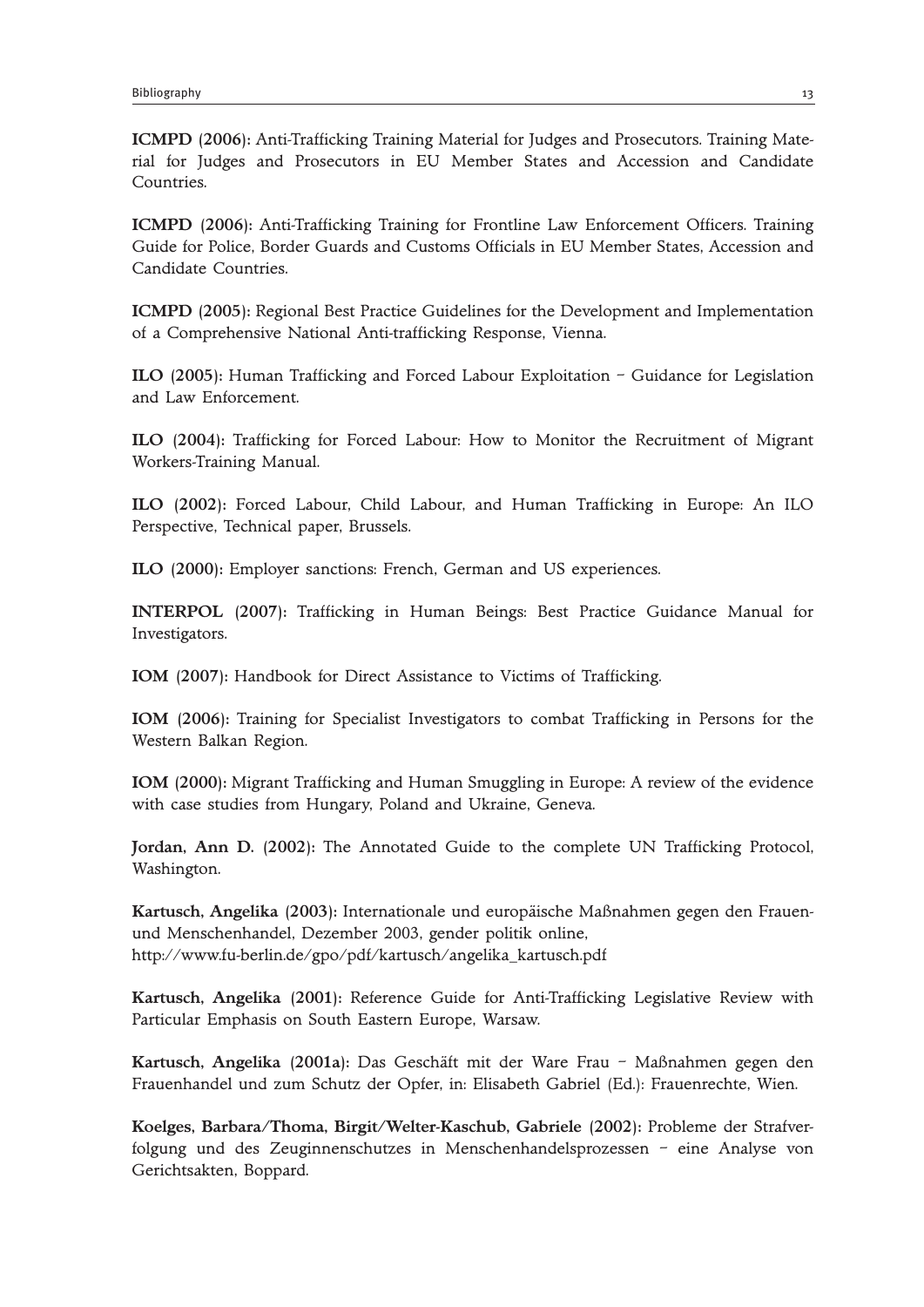**ICMPD (2006):** Anti-Trafficking Training Material for Judges and Prosecutors. Training Material for Judges and Prosecutors in EU Member States and Accession and Candidate Countries.

**ICMPD (2006):** Anti-Trafficking Training for Frontline Law Enforcement Officers. Training Guide for Police, Border Guards and Customs Officials in EU Member States, Accession and Candidate Countries.

**ICMPD (2005):** Regional Best Practice Guidelines for the Development and Implementation of a Comprehensive National Anti-trafficking Response, Vienna.

**ILO (2005):** Human Trafficking and Forced Labour Exploitation – Guidance for Legislation and Law Enforcement.

**ILO (2004):** Trafficking for Forced Labour: How to Monitor the Recruitment of Migrant Workers-Training Manual.

**ILO (2002):** Forced Labour, Child Labour, and Human Trafficking in Europe: An ILO Perspective, Technical paper, Brussels.

**ILO (2000):** Employer sanctions: French, German and US experiences.

**INTERPOL (2007):** Trafficking in Human Beings: Best Practice Guidance Manual for Investigators.

**IOM (2007):** Handbook for Direct Assistance to Victims of Trafficking.

**IOM (2006):** Training for Specialist Investigators to combat Trafficking in Persons for the Western Balkan Region.

**IOM (2000):** Migrant Trafficking and Human Smuggling in Europe: A review of the evidence with case studies from Hungary, Poland and Ukraine, Geneva.

**Jordan, Ann D. (2002):** The Annotated Guide to the complete UN Trafficking Protocol, Washington.

**Kartusch, Angelika (2003):** Internationale und europäische Maßnahmen gegen den Frauenund Menschenhandel, Dezember 2003, gender politik online, http://www.fu-berlin.de/gpo/pdf/kartusch/angelika\_kartusch.pdf

**Kartusch, Angelika (2001):** Reference Guide for Anti-Trafficking Legislative Review with Particular Emphasis on South Eastern Europe, Warsaw.

**Kartusch, Angelika (2001a):** Das Geschäft mit der Ware Frau – Maßnahmen gegen den Frauenhandel und zum Schutz der Opfer, in: Elisabeth Gabriel (Ed.): Frauenrechte, Wien.

**Koelges, Barbara/Thoma, Birgit/Welter-Kaschub, Gabriele (2002):** Probleme der Strafverfolgung und des Zeuginnenschutzes in Menschenhandelsprozessen – eine Analyse von Gerichtsakten, Boppard.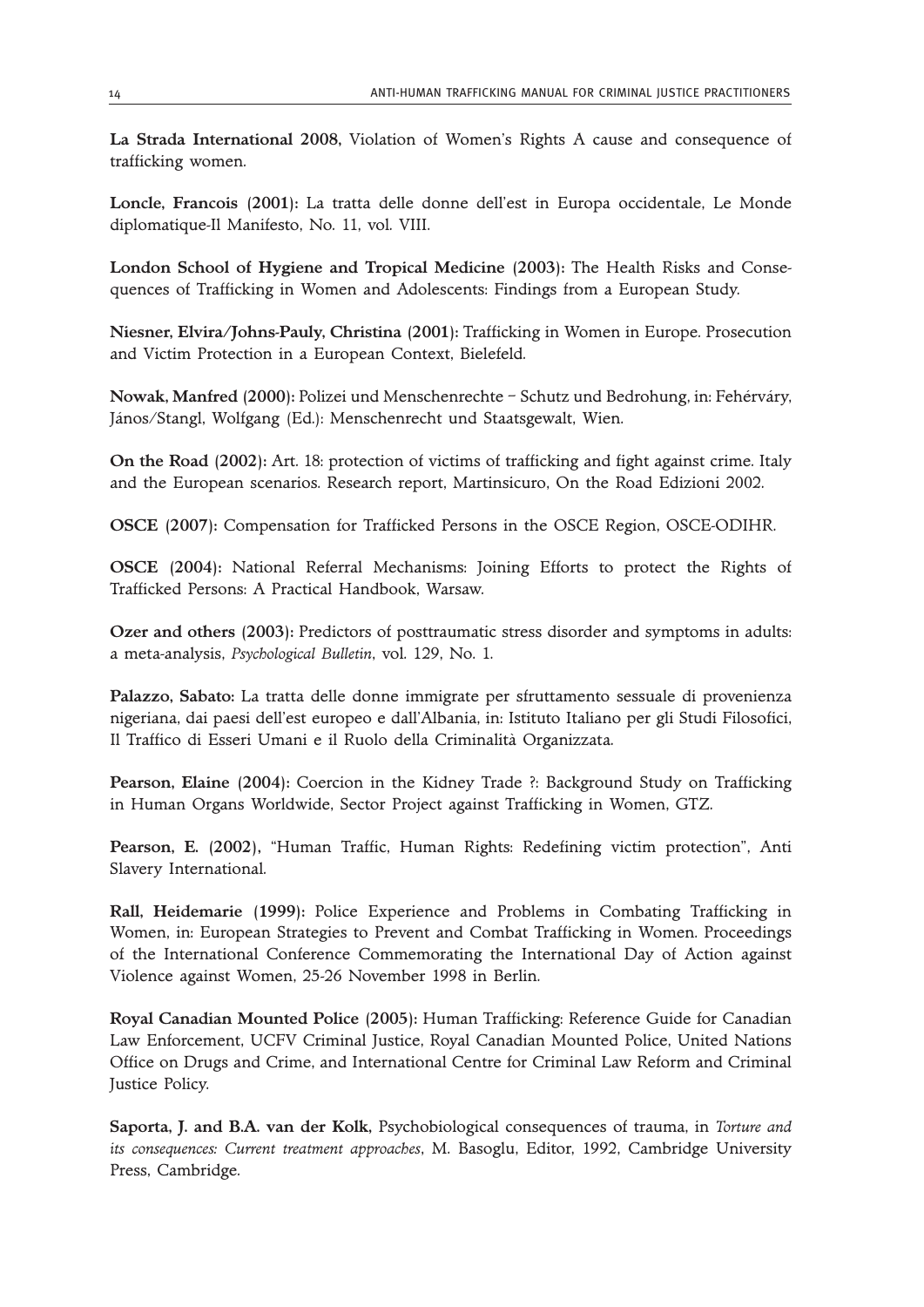**La Strada International 2008,** Violation of Women's Rights A cause and consequence of trafficking women.

**Loncle, Francois (2001):** La tratta delle donne dell'est in Europa occidentale, Le Monde diplomatique-Il Manifesto, No. 11, vol. VIII.

**London School of Hygiene and Tropical Medicine (2003):** The Health Risks and Consequences of Trafficking in Women and Adolescents: Findings from a European Study.

**Niesner, Elvira/Johns-Pauly, Christina (2001):** Trafficking in Women in Europe. Prosecution and Victim Protection in a European Context, Bielefeld.

**Nowak, Manfred (2000):** Polizei und Menschenrechte – Schutz und Bedrohung, in: Fehérváry, János/Stangl, Wolfgang (Ed.): Menschenrecht und Staatsgewalt, Wien.

**On the Road (2002):** Art. 18: protection of victims of trafficking and fight against crime. Italy and the European scenarios. Research report, Martinsicuro, On the Road Edizioni 2002.

**OSCE (2007):** Compensation for Trafficked Persons in the OSCE Region, OSCE-ODIHR.

**OSCE (2004):** National Referral Mechanisms: Joining Efforts to protect the Rights of Trafficked Persons: A Practical Handbook, Warsaw.

**Ozer and others (2003):** Predictors of posttraumatic stress disorder and symptoms in adults: a meta-analysis, *Psychological Bulletin*, vol. 129, No. 1.

**Palazzo, Sabato:** La tratta delle donne immigrate per sfruttamento sessuale di provenienza nigeriana, dai paesi dell'est europeo e dall'Albania, in: Istituto Italiano per gli Studi Filosofici, Il Traffico di Esseri Umani e il Ruolo della Criminalità Organizzata.

**Pearson, Elaine (2004):** Coercion in the Kidney Trade ?: Background Study on Trafficking in Human Organs Worldwide, Sector Project against Trafficking in Women, GTZ.

**Pearson, E. (2002),** "Human Traffic, Human Rights: Redefining victim protection", Anti Slavery International.

**Rall, Heidemarie (1999):** Police Experience and Problems in Combating Trafficking in Women, in: European Strategies to Prevent and Combat Trafficking in Women. Proceedings of the International Conference Commemorating the International Day of Action against Violence against Women, 25-26 November 1998 in Berlin.

**Royal Canadian Mounted Police (2005):** Human Trafficking: Reference Guide for Canadian Law Enforcement, UCFV Criminal Justice, Royal Canadian Mounted Police, United Nations Office on Drugs and Crime, and International Centre for Criminal Law Reform and Criminal Justice Policy.

**Saporta, J. and B.A. van der Kolk,** Psychobiological consequences of trauma, in *Torture and its consequences: Current treatment approaches*, M. Basoglu, Editor, 1992, Cambridge University Press, Cambridge.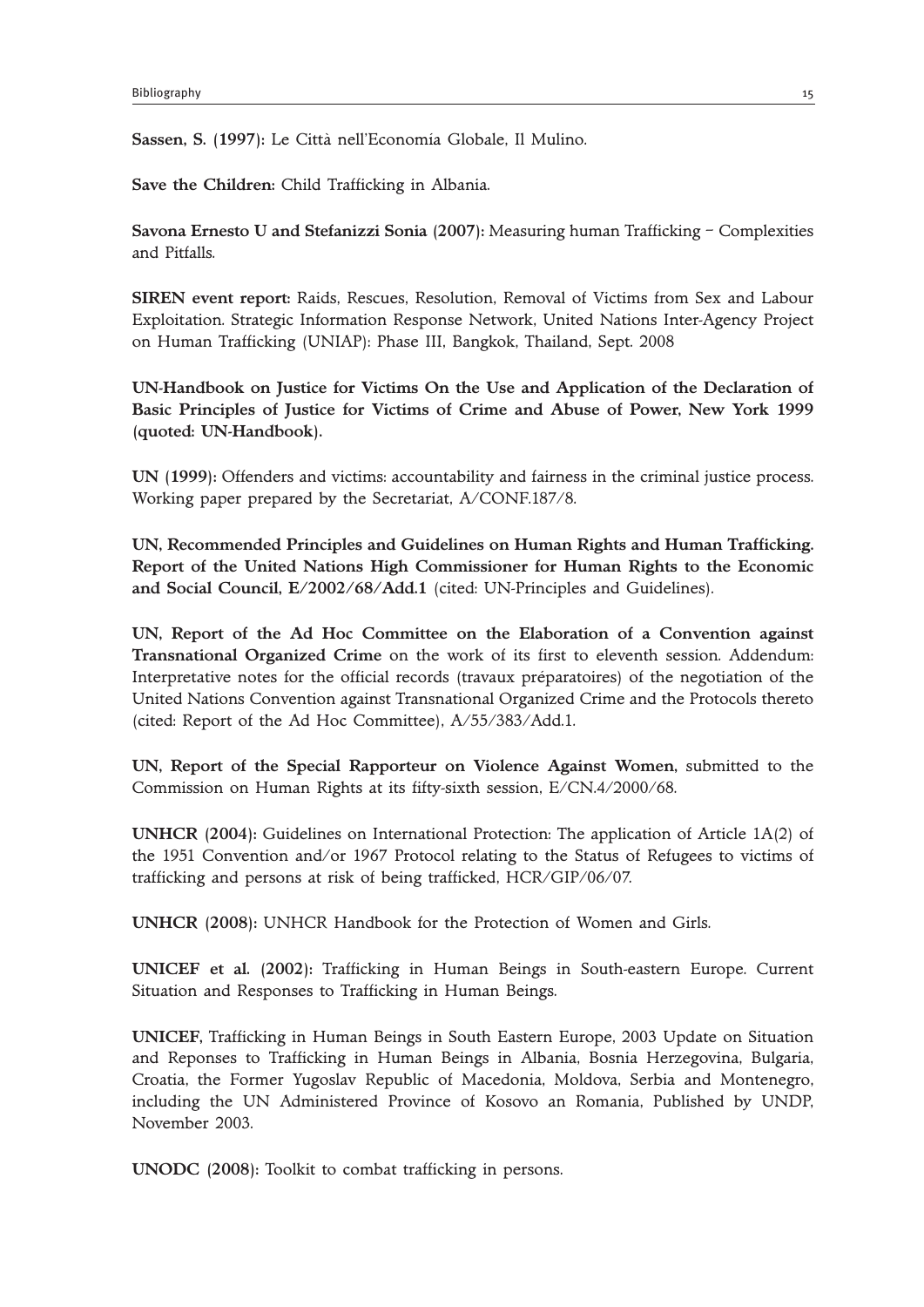**Sassen, S. (1997):** Le Città nell'Economía Globale, Il Mulino.

**Save the Children:** Child Trafficking in Albania.

**Savona Ernesto U and Stefanizzi Sonia (2007):** Measuring human Trafficking – Complexities and Pitfalls.

**SIREN event report:** Raids, Rescues, Resolution, Removal of Victims from Sex and Labour Exploitation. Strategic Information Response Network, United Nations Inter-Agency Project on Human Trafficking (UNIAP): Phase III, Bangkok, Thailand, Sept. 2008

**UN-Handbook on Justice for Victims On the Use and Application of the Declaration of Basic Principles of Justice for Victims of Crime and Abuse of Power, New York 1999 (quoted: UN-Handbook).**

**UN (1999):** Offenders and victims: accountability and fairness in the criminal justice process. Working paper prepared by the Secretariat, A/CONF.187/8.

**UN, Recommended Principles and Guidelines on Human Rights and Human Trafficking. Report of the United Nations High Commissioner for Human Rights to the Economic and Social Council, E/2002/68/Add.1** (cited: UN-Principles and Guidelines).

**UN, Report of the Ad Hoc Committee on the Elaboration of a Convention against Transnational Organized Crime** on the work of its first to eleventh session. Addendum: Interpretative notes for the official records (travaux préparatoires) of the negotiation of the United Nations Convention against Transnational Organized Crime and the Protocols thereto (cited: Report of the Ad Hoc Committee), A/55/383/Add.1.

**UN, Report of the Special Rapporteur on Violence Against Women,** submitted to the Commission on Human Rights at its fifty-sixth session, E/CN.4/2000/68.

**UNHCR (2004):** Guidelines on International Protection: The application of Article 1A(2) of the 1951 Convention and/or 1967 Protocol relating to the Status of Refugees to victims of trafficking and persons at risk of being trafficked, HCR/GIP/06/07.

**UNHCR (2008):** UNHCR Handbook for the Protection of Women and Girls.

**UNICEF et al. (2002):** Trafficking in Human Beings in South-eastern Europe. Current Situation and Responses to Trafficking in Human Beings.

**UNICEF,** Trafficking in Human Beings in South Eastern Europe, 2003 Update on Situation and Reponses to Trafficking in Human Beings in Albania, Bosnia Herzegovina, Bulgaria, Croatia, the Former Yugoslav Republic of Macedonia, Moldova, Serbia and Montenegro, including the UN Administered Province of Kosovo an Romania, Published by UNDP, November 2003.

**UNODC (2008):** Toolkit to combat trafficking in persons.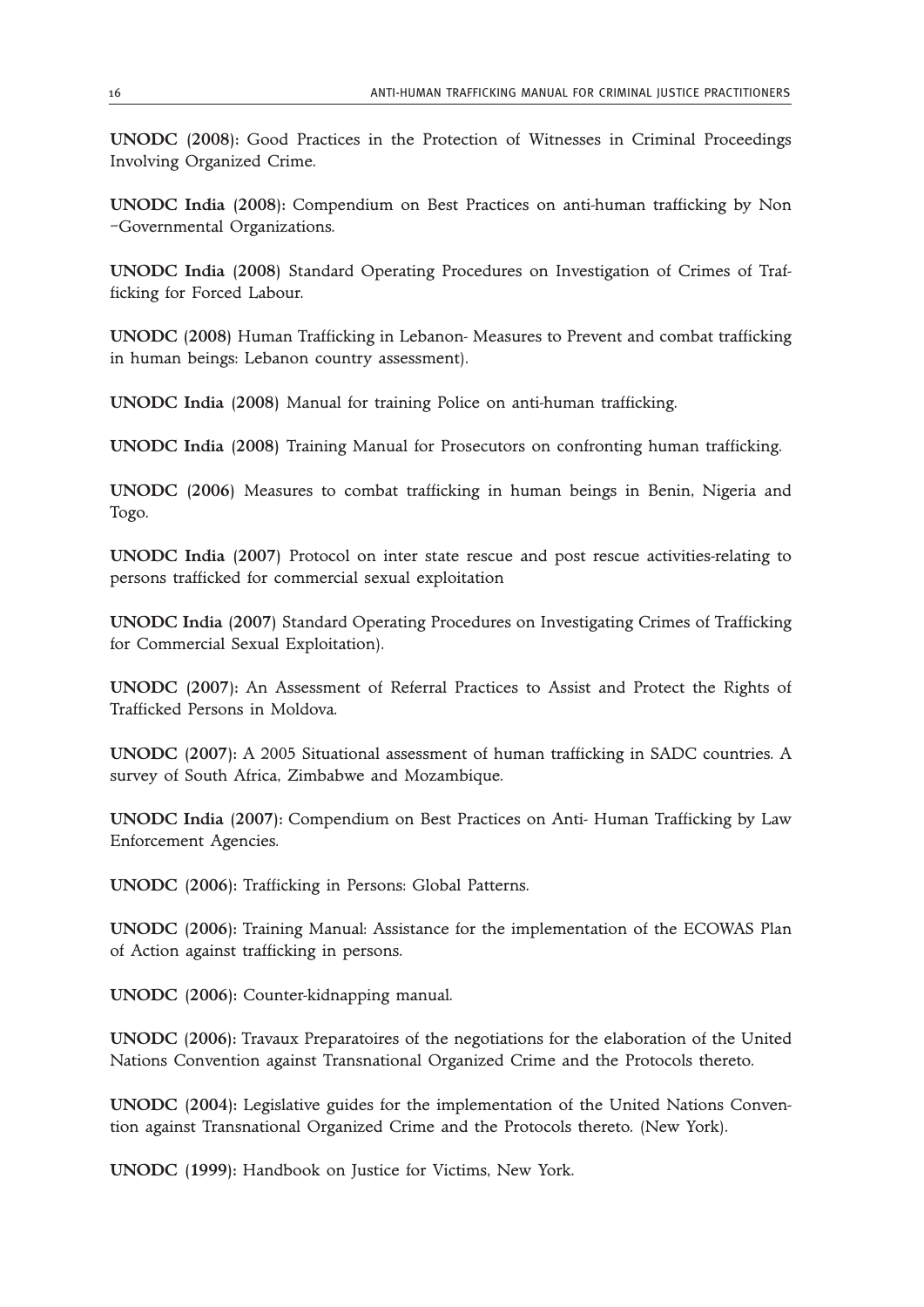**UNODC (2008):** Good Practices in the Protection of Witnesses in Criminal Proceedings Involving Organized Crime.

**UNODC India (2008):** Compendium on Best Practices on anti-human trafficking by Non –Governmental Organizations.

**UNODC India (2008)** Standard Operating Procedures on Investigation of Crimes of Trafficking for Forced Labour.

**UNODC (2008)** Human Trafficking in Lebanon- Measures to Prevent and combat trafficking in human beings: Lebanon country assessment).

**UNODC India (2008)** Manual for training Police on anti-human trafficking.

**UNODC India (2008)** Training Manual for Prosecutors on confronting human trafficking.

**UNODC (2006)** Measures to combat trafficking in human beings in Benin, Nigeria and Togo.

**UNODC India (2007)** Protocol on inter state rescue and post rescue activities-relating to persons trafficked for commercial sexual exploitation

**UNODC India (2007)** Standard Operating Procedures on Investigating Crimes of Trafficking for Commercial Sexual Exploitation).

**UNODC (2007):** An Assessment of Referral Practices to Assist and Protect the Rights of Trafficked Persons in Moldova.

**UNODC (2007):** A 2005 Situational assessment of human trafficking in SADC countries. A survey of South Africa, Zimbabwe and Mozambique.

**UNODC India (2007):** Compendium on Best Practices on Anti- Human Trafficking by Law Enforcement Agencies.

**UNODC (2006):** Trafficking in Persons: Global Patterns.

**UNODC (2006):** Training Manual: Assistance for the implementation of the ECOWAS Plan of Action against trafficking in persons.

**UNODC (2006):** Counter-kidnapping manual.

**UNODC (2006):** Travaux Preparatoires of the negotiations for the elaboration of the United Nations Convention against Transnational Organized Crime and the Protocols thereto.

**UNODC (2004):** Legislative guides for the implementation of the United Nations Convention against Transnational Organized Crime and the Protocols thereto. (New York).

**UNODC (1999):** Handbook on Justice for Victims, New York.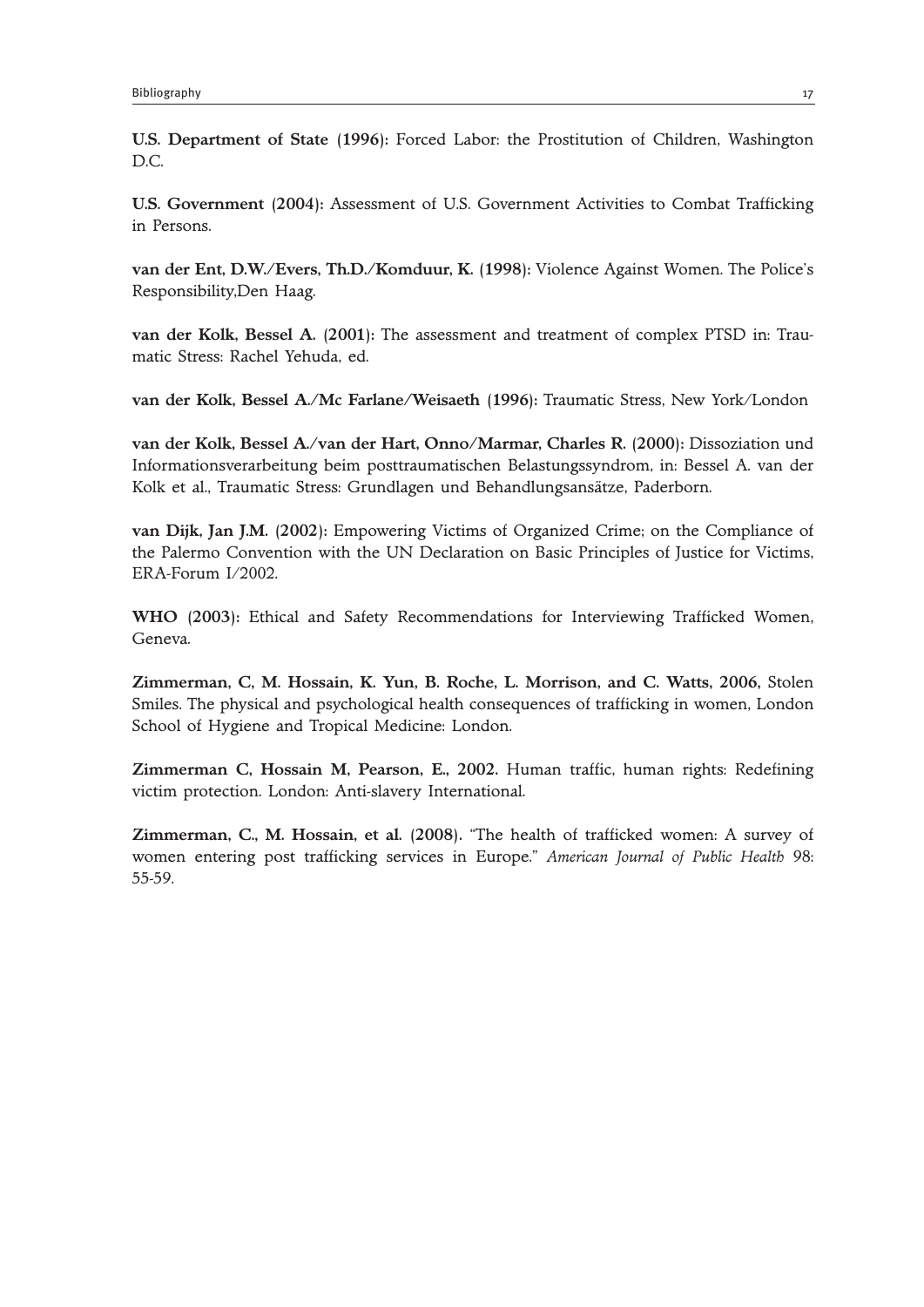**U.S. Department of State (1996):** Forced Labor: the Prostitution of Children, Washington D.C.

**U.S. Government (2004):** Assessment of U.S. Government Activities to Combat Trafficking in Persons.

**van der Ent, D.W./Evers, Th.D./Komduur, K. (1998):** Violence Against Women. The Police's Responsibility,Den Haag.

**van der Kolk, Bessel A. (2001):** The assessment and treatment of complex PTSD in: Traumatic Stress: Rachel Yehuda, ed.

**van der Kolk, Bessel A./Mc Farlane/Weisaeth (1996):** Traumatic Stress, New York/London

**van der Kolk, Bessel A./van der Hart, Onno/Marmar, Charles R. (2000):** Dissoziation und Informationsverarbeitung beim posttraumatischen Belastungssyndrom, in: Bessel A. van der Kolk et al., Traumatic Stress: Grundlagen und Behandlungsansätze, Paderborn.

**van Dijk, Jan J.M. (2002):** Empowering Victims of Organized Crime; on the Compliance of the Palermo Convention with the UN Declaration on Basic Principles of Justice for Victims, ERA-Forum I/2002.

**WHO (2003):** Ethical and Safety Recommendations for Interviewing Trafficked Women, Geneva.

**Zimmerman, C, M. Hossain, K. Yun, B. Roche, L. Morrison, and C. Watts, 2006,** Stolen Smiles. The physical and psychological health consequences of trafficking in women, London School of Hygiene and Tropical Medicine: London.

**Zimmerman C, Hossain M, Pearson, E., 2002.** Human traffic, human rights: Redefining victim protection. London: Anti-slavery International.

**Zimmerman, C., M. Hossain, et al. (2008).** "The health of trafficked women: A survey of women entering post trafficking services in Europe." *American Journal of Public Health* 98: 55-59.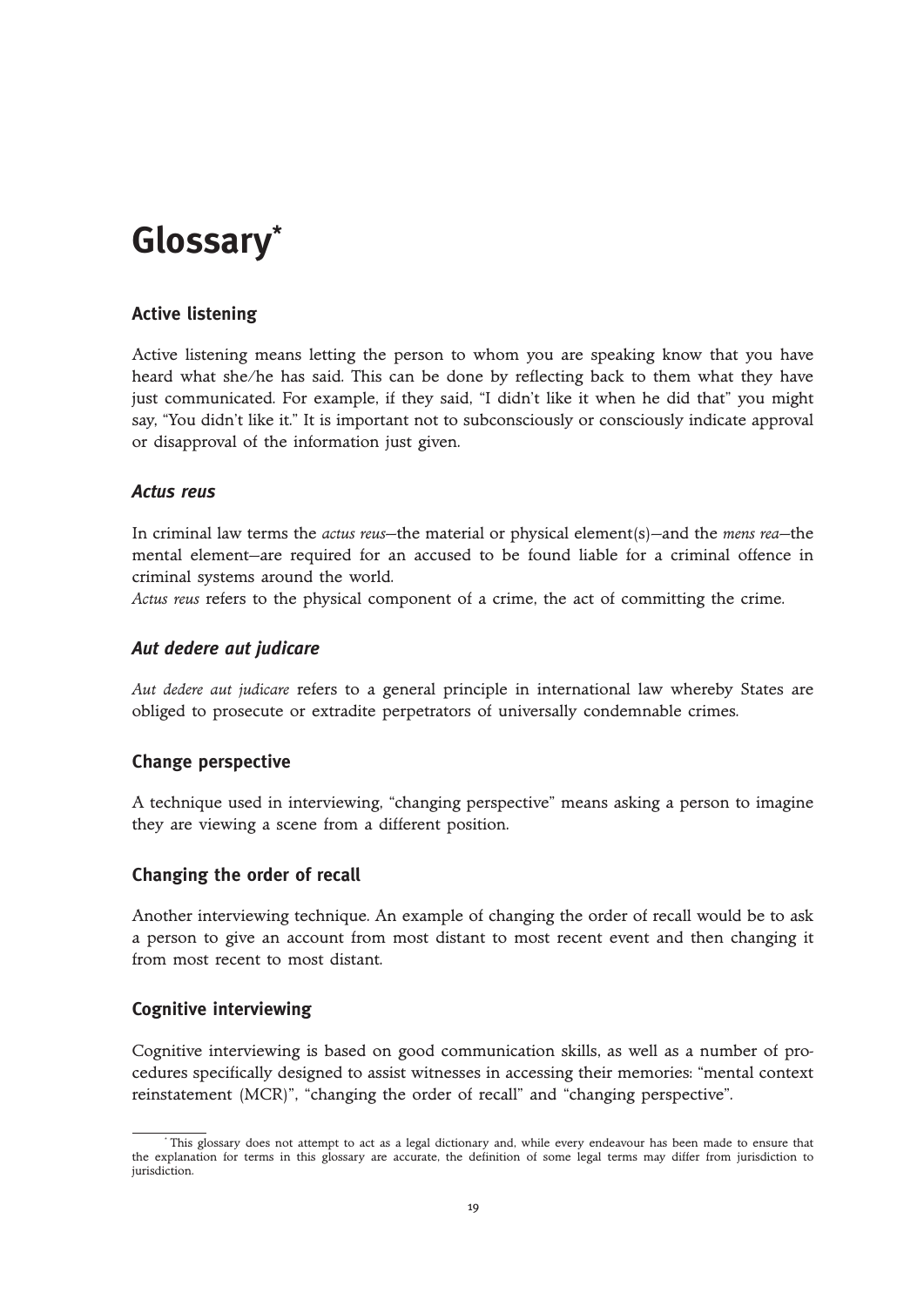## **Glossary\***

#### **Active listening**

Active listening means letting the person to whom you are speaking know that you have heard what she/he has said. This can be done by reflecting back to them what they have just communicated. For example, if they said, "I didn't like it when he did that" you might say, "You didn't like it." It is important not to subconsciously or consciously indicate approval or disapproval of the information just given.

#### *Actus reus*

In criminal law terms the *actus reus*—the material or physical element(s)—and the *mens rea*—the mental element—are required for an accused to be found liable for a criminal offence in criminal systems around the world.

*Actus reus* refers to the physical component of a crime, the act of committing the crime.

#### *Aut dedere aut judicare*

*Aut dedere aut judicare* refers to a general principle in international law whereby States are obliged to prosecute or extradite perpetrators of universally condemnable crimes.

#### **Change perspective**

A technique used in interviewing, "changing perspective" means asking a person to imagine they are viewing a scene from a different position.

#### **Changing the order of recall**

Another interviewing technique. An example of changing the order of recall would be to ask a person to give an account from most distant to most recent event and then changing it from most recent to most distant.

#### **Cognitive interviewing**

Cognitive interviewing is based on good communication skills, as well as a number of procedures specifically designed to assist witnesses in accessing their memories: "mental context reinstatement (MCR)", "changing the order of recall" and "changing perspective".

This glossary does not attempt to act as a legal dictionary and, while every endeavour has been made to ensure that the explanation for terms in this glossary are accurate, the definition of some legal terms may differ from jurisdiction to jurisdiction.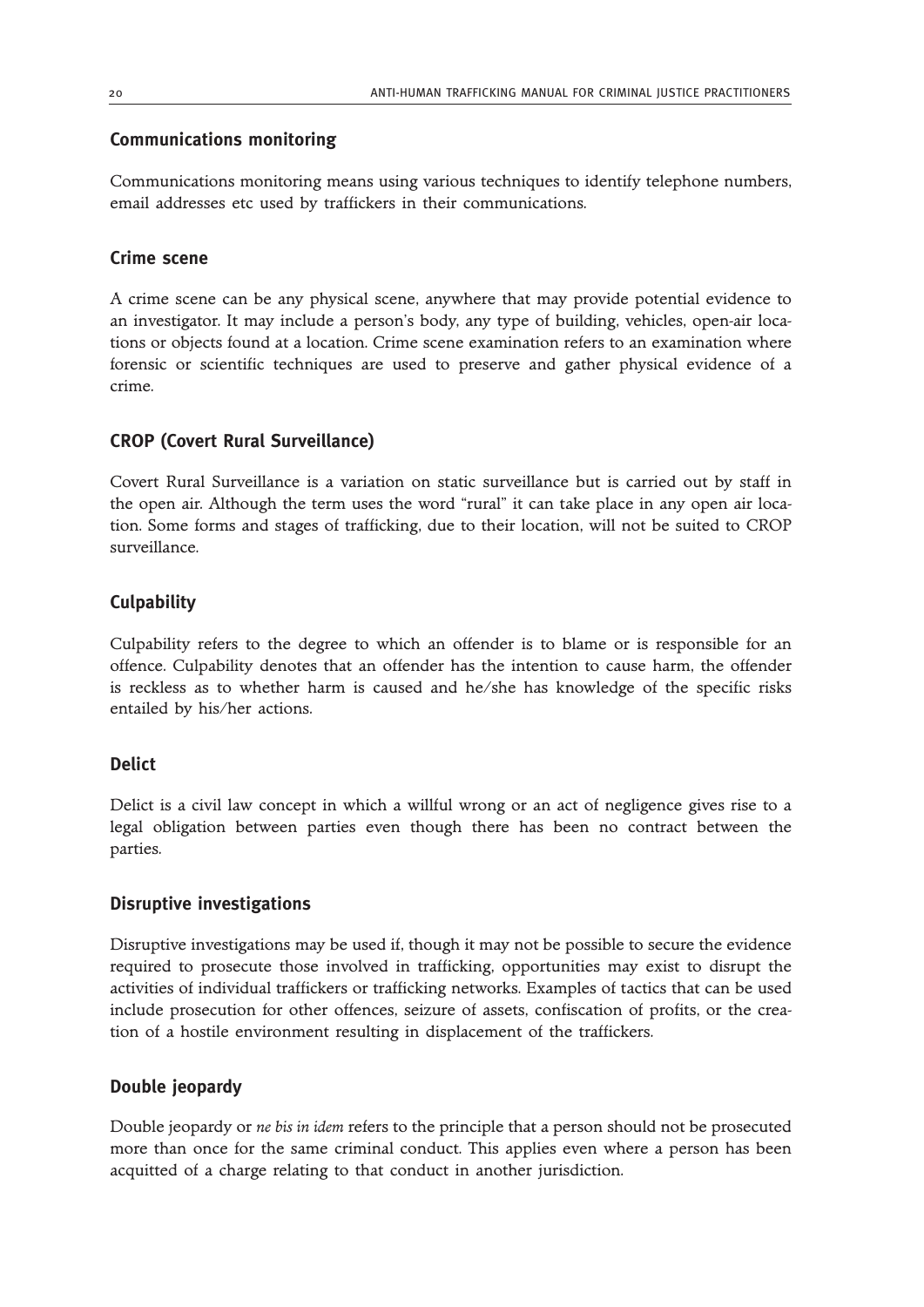#### **Communications monitoring**

Communications monitoring means using various techniques to identify telephone numbers, email addresses etc used by traffickers in their communications.

#### **Crime scene**

A crime scene can be any physical scene, anywhere that may provide potential evidence to an investigator. It may include a person's body, any type of building, vehicles, open-air locations or objects found at a location. Crime scene examination refers to an examination where forensic or scientific techniques are used to preserve and gather physical evidence of a crime.

#### **CROP (Covert Rural Surveillance)**

Covert Rural Surveillance is a variation on static surveillance but is carried out by staff in the open air. Although the term uses the word "rural" it can take place in any open air location. Some forms and stages of trafficking, due to their location, will not be suited to CROP surveillance.

#### **Culpability**

Culpability refers to the degree to which an offender is to blame or is responsible for an offence. Culpability denotes that an offender has the intention to cause harm, the offender is reckless as to whether harm is caused and he/she has knowledge of the specific risks entailed by his/her actions.

#### **Delict**

Delict is a civil law concept in which a willful wrong or an act of negligence gives rise to a legal obligation between parties even though there has been no contract between the parties.

#### **Disruptive investigations**

Disruptive investigations may be used if, though it may not be possible to secure the evidence required to prosecute those involved in trafficking, opportunities may exist to disrupt the activities of individual traffickers or trafficking networks. Examples of tactics that can be used include prosecution for other offences, seizure of assets, confiscation of profits, or the creation of a hostile environment resulting in displacement of the traffickers.

#### **Double jeopardy**

Double jeopardy or *ne bis in idem* refers to the principle that a person should not be prosecuted more than once for the same criminal conduct. This applies even where a person has been acquitted of a charge relating to that conduct in another jurisdiction.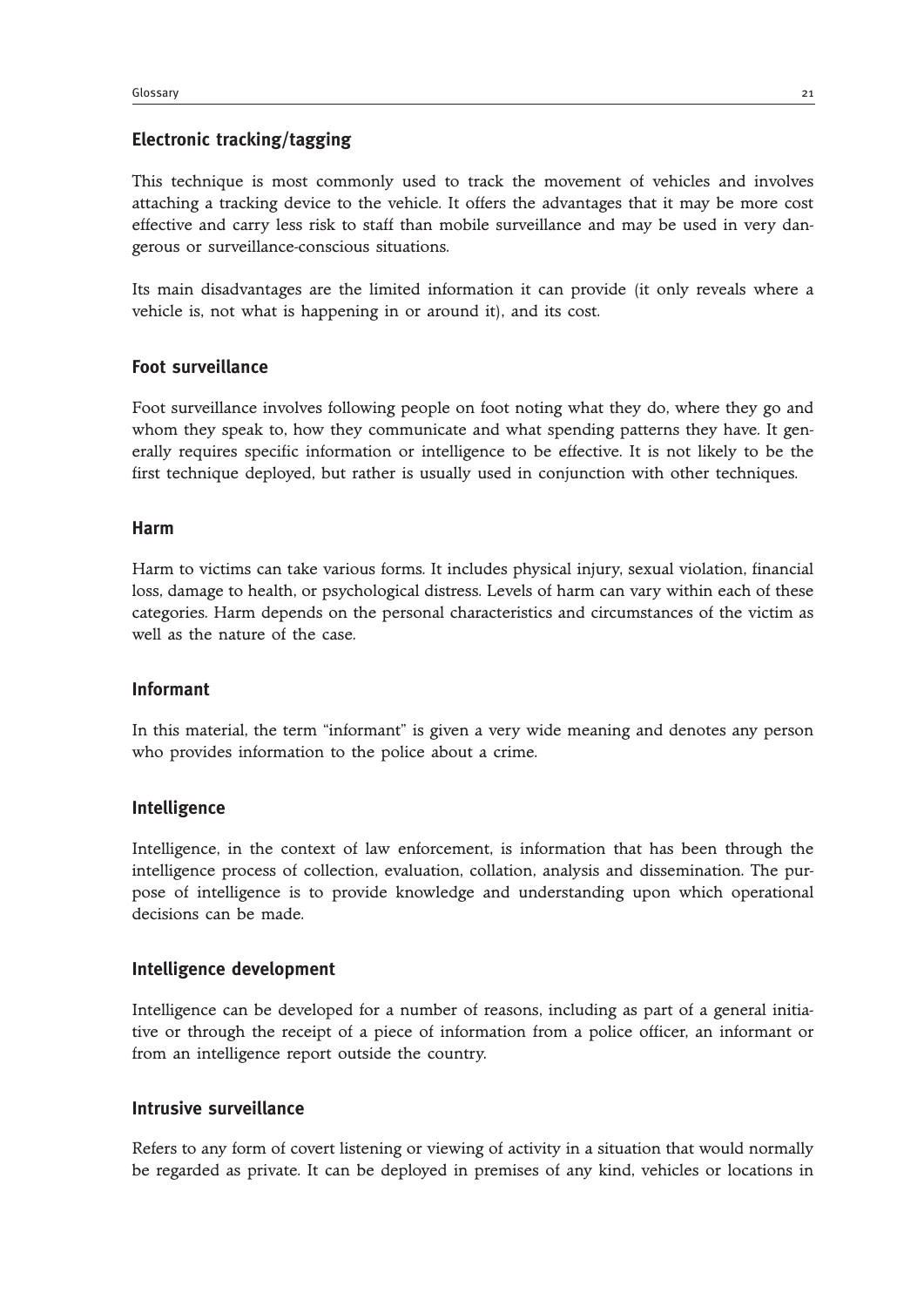#### **Electronic tracking/tagging**

This technique is most commonly used to track the movement of vehicles and involves attaching a tracking device to the vehicle. It offers the advantages that it may be more cost effective and carry less risk to staff than mobile surveillance and may be used in very dangerous or surveillance-conscious situations.

Its main disadvantages are the limited information it can provide (it only reveals where a vehicle is, not what is happening in or around it), and its cost.

#### **Foot surveillance**

Foot surveillance involves following people on foot noting what they do, where they go and whom they speak to, how they communicate and what spending patterns they have. It generally requires specific information or intelligence to be effective. It is not likely to be the first technique deployed, but rather is usually used in conjunction with other techniques.

#### **Harm**

Harm to victims can take various forms. It includes physical injury, sexual violation, financial loss, damage to health, or psychological distress. Levels of harm can vary within each of these categories. Harm depends on the personal characteristics and circumstances of the victim as well as the nature of the case.

#### **Informant**

In this material, the term "informant" is given a very wide meaning and denotes any person who provides information to the police about a crime.

#### **Intelligence**

Intelligence, in the context of law enforcement, is information that has been through the intelligence process of collection, evaluation, collation, analysis and dissemination. The purpose of intelligence is to provide knowledge and understanding upon which operational decisions can be made.

#### **Intelligence development**

Intelligence can be developed for a number of reasons, including as part of a general initiative or through the receipt of a piece of information from a police officer, an informant or from an intelligence report outside the country.

#### **Intrusive surveillance**

Refers to any form of covert listening or viewing of activity in a situation that would normally be regarded as private. It can be deployed in premises of any kind, vehicles or locations in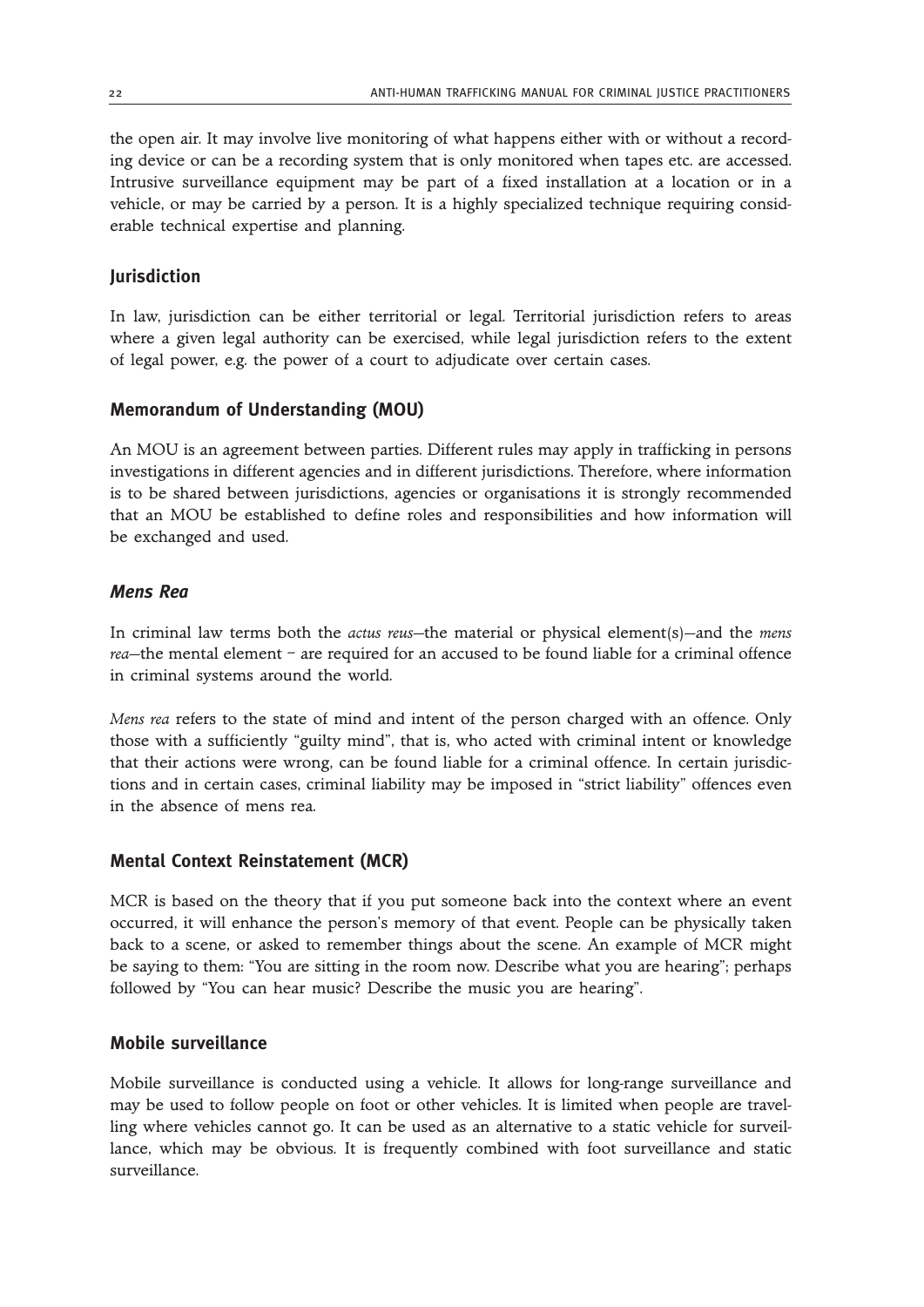the open air. It may involve live monitoring of what happens either with or without a recording device or can be a recording system that is only monitored when tapes etc. are accessed. Intrusive surveillance equipment may be part of a fixed installation at a location or in a vehicle, or may be carried by a person. It is a highly specialized technique requiring considerable technical expertise and planning.

#### **Jurisdiction**

In law, jurisdiction can be either territorial or legal. Territorial jurisdiction refers to areas where a given legal authority can be exercised, while legal jurisdiction refers to the extent of legal power, e.g. the power of a court to adjudicate over certain cases.

#### **Memorandum of Understanding (MOU)**

An MOU is an agreement between parties. Different rules may apply in trafficking in persons investigations in different agencies and in different jurisdictions. Therefore, where information is to be shared between jurisdictions, agencies or organisations it is strongly recommended that an MOU be established to define roles and responsibilities and how information will be exchanged and used.

#### *Mens Rea*

In criminal law terms both the *actus reus*—the material or physical element(s)—and the *mens rea*—the mental element – are required for an accused to be found liable for a criminal offence in criminal systems around the world.

*Mens rea* refers to the state of mind and intent of the person charged with an offence. Only those with a sufficiently "guilty mind", that is, who acted with criminal intent or knowledge that their actions were wrong, can be found liable for a criminal offence. In certain jurisdictions and in certain cases, criminal liability may be imposed in "strict liability" offences even in the absence of mens rea.

#### **Mental Context Reinstatement (MCR)**

MCR is based on the theory that if you put someone back into the context where an event occurred, it will enhance the person's memory of that event. People can be physically taken back to a scene, or asked to remember things about the scene. An example of MCR might be saying to them: "You are sitting in the room now. Describe what you are hearing"; perhaps followed by "You can hear music? Describe the music you are hearing".

#### **Mobile surveillance**

Mobile surveillance is conducted using a vehicle. It allows for long-range surveillance and may be used to follow people on foot or other vehicles. It is limited when people are travelling where vehicles cannot go. It can be used as an alternative to a static vehicle for surveillance, which may be obvious. It is frequently combined with foot surveillance and static surveillance.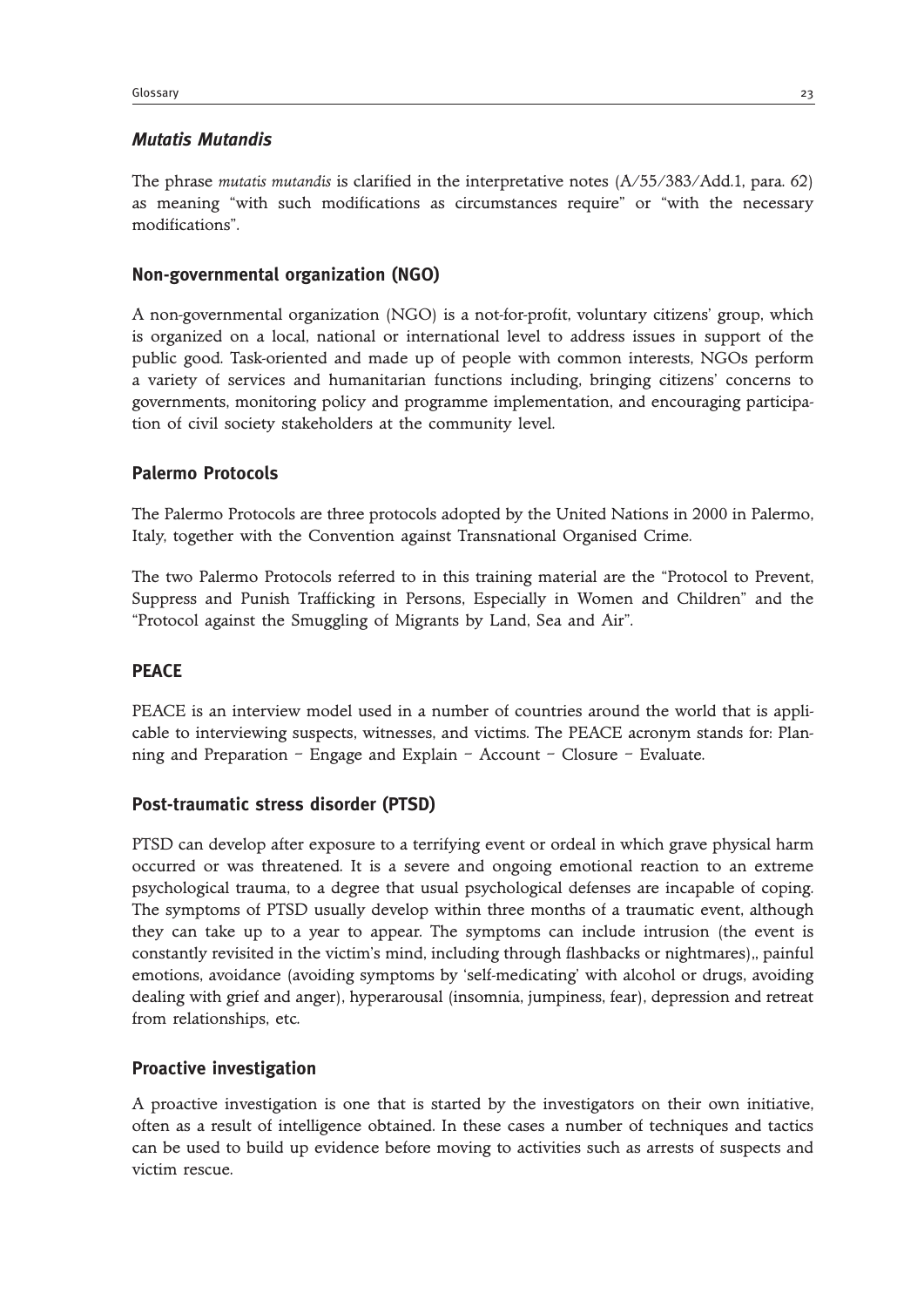#### *Mutatis Mutandis*

The phrase *mutatis mutandis* is clarified in the interpretative notes (A/55/383/Add.1, para. 62) as meaning "with such modifications as circumstances require" or "with the necessary modifications".

#### **Non-governmental organization (NGO)**

A non-governmental organization (NGO) is a not-for-profit, voluntary citizens' group, which is organized on a local, national or international level to address issues in support of the public good. Task-oriented and made up of people with common interests, NGOs perform a variety of services and humanitarian functions including, bringing citizens' concerns to governments, monitoring policy and programme implementation, and encouraging participation of civil society stakeholders at the community level.

#### **Palermo Protocols**

The Palermo Protocols are three protocols adopted by the United Nations in 2000 in Palermo, Italy, together with the Convention against Transnational Organised Crime.

The two Palermo Protocols referred to in this training material are the "Protocol to Prevent, Suppress and Punish Trafficking in Persons, Especially in Women and Children" and the "Protocol against the Smuggling of Migrants by Land, Sea and Air".

#### **PEACE**

PEACE is an interview model used in a number of countries around the world that is applicable to interviewing suspects, witnesses, and victims. The PEACE acronym stands for: Planning and Preparation – Engage and Explain – Account – Closure – Evaluate.

#### **Post-traumatic stress disorder (PTSD)**

PTSD can develop after exposure to a terrifying event or ordeal in which grave physical harm occurred or was threatened. It is a severe and ongoing emotional reaction to an extreme psychological trauma, to a degree that usual psychological defenses are incapable of coping. The symptoms of PTSD usually develop within three months of a traumatic event, although they can take up to a year to appear. The symptoms can include intrusion (the event is constantly revisited in the victim's mind, including through flashbacks or nightmares),, painful emotions, avoidance (avoiding symptoms by 'self-medicating' with alcohol or drugs, avoiding dealing with grief and anger), hyperarousal (insomnia, jumpiness, fear), depression and retreat from relationships, etc.

#### **Proactive investigation**

A proactive investigation is one that is started by the investigators on their own initiative, often as a result of intelligence obtained. In these cases a number of techniques and tactics can be used to build up evidence before moving to activities such as arrests of suspects and victim rescue.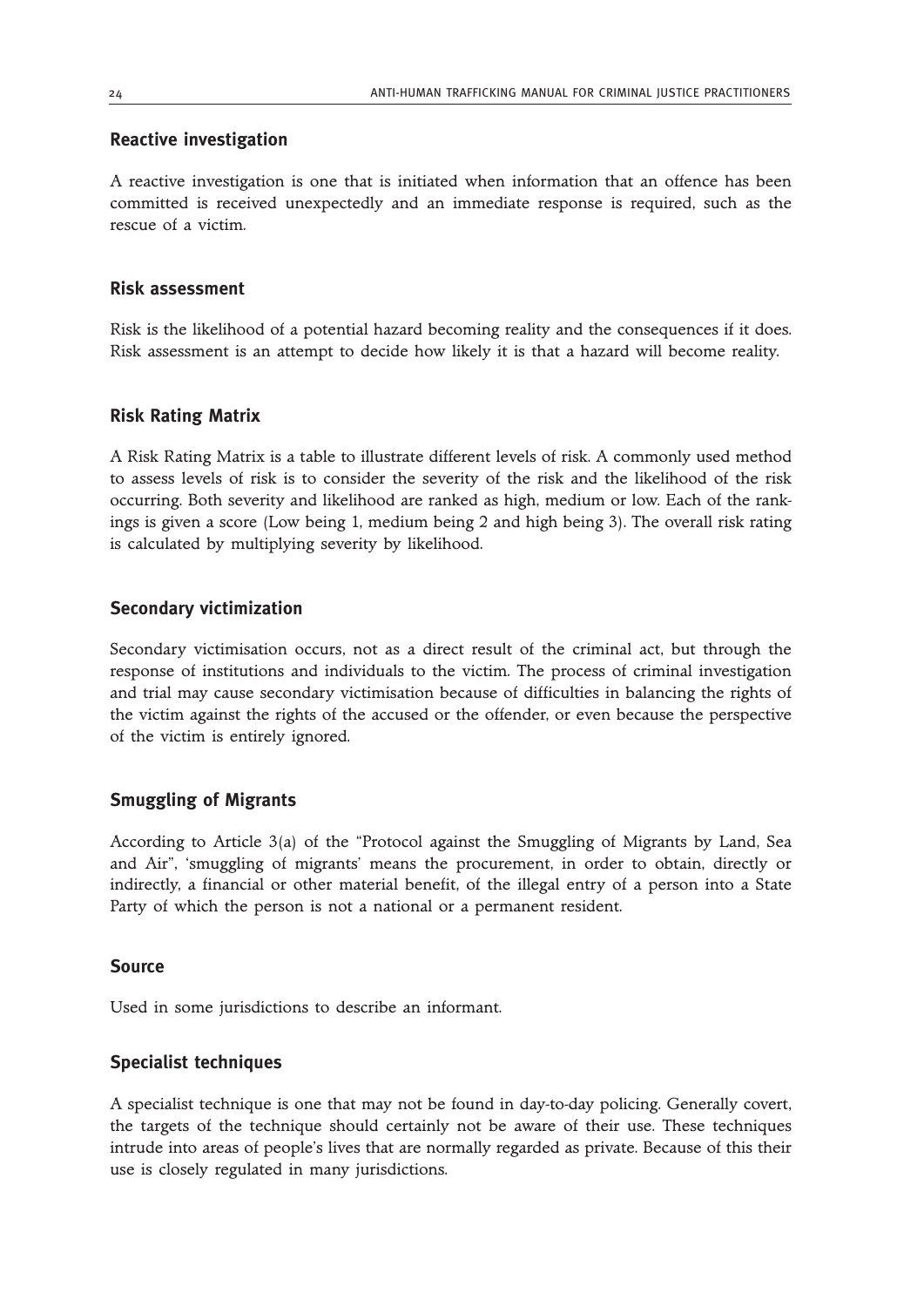#### **Reactive investigation**

A reactive investigation is one that is initiated when information that an offence has been committed is received unexpectedly and an immediate response is required, such as the rescue of a victim.

#### **Risk assessment**

Risk is the likelihood of a potential hazard becoming reality and the consequences if it does. Risk assessment is an attempt to decide how likely it is that a hazard will become reality.

#### **Risk Rating Matrix**

A Risk Rating Matrix is a table to illustrate different levels of risk. A commonly used method to assess levels of risk is to consider the severity of the risk and the likelihood of the risk occurring. Both severity and likelihood are ranked as high, medium or low. Each of the rankings is given a score (Low being 1, medium being 2 and high being 3). The overall risk rating is calculated by multiplying severity by likelihood.

#### **Secondary victimization**

Secondary victimisation occurs, not as a direct result of the criminal act, but through the response of institutions and individuals to the victim. The process of criminal investigation and trial may cause secondary victimisation because of difficulties in balancing the rights of the victim against the rights of the accused or the offender, or even because the perspective of the victim is entirely ignored.

#### **Smuggling of Migrants**

According to Article 3(a) of the "Protocol against the Smuggling of Migrants by Land, Sea and Air", 'smuggling of migrants' means the procurement, in order to obtain, directly or indirectly, a financial or other material benefit, of the illegal entry of a person into a State Party of which the person is not a national or a permanent resident.

#### **Source**

Used in some jurisdictions to describe an informant.

#### **Specialist techniques**

A specialist technique is one that may not be found in day-to-day policing. Generally covert, the targets of the technique should certainly not be aware of their use. These techniques intrude into areas of people's lives that are normally regarded as private. Because of this their use is closely regulated in many jurisdictions.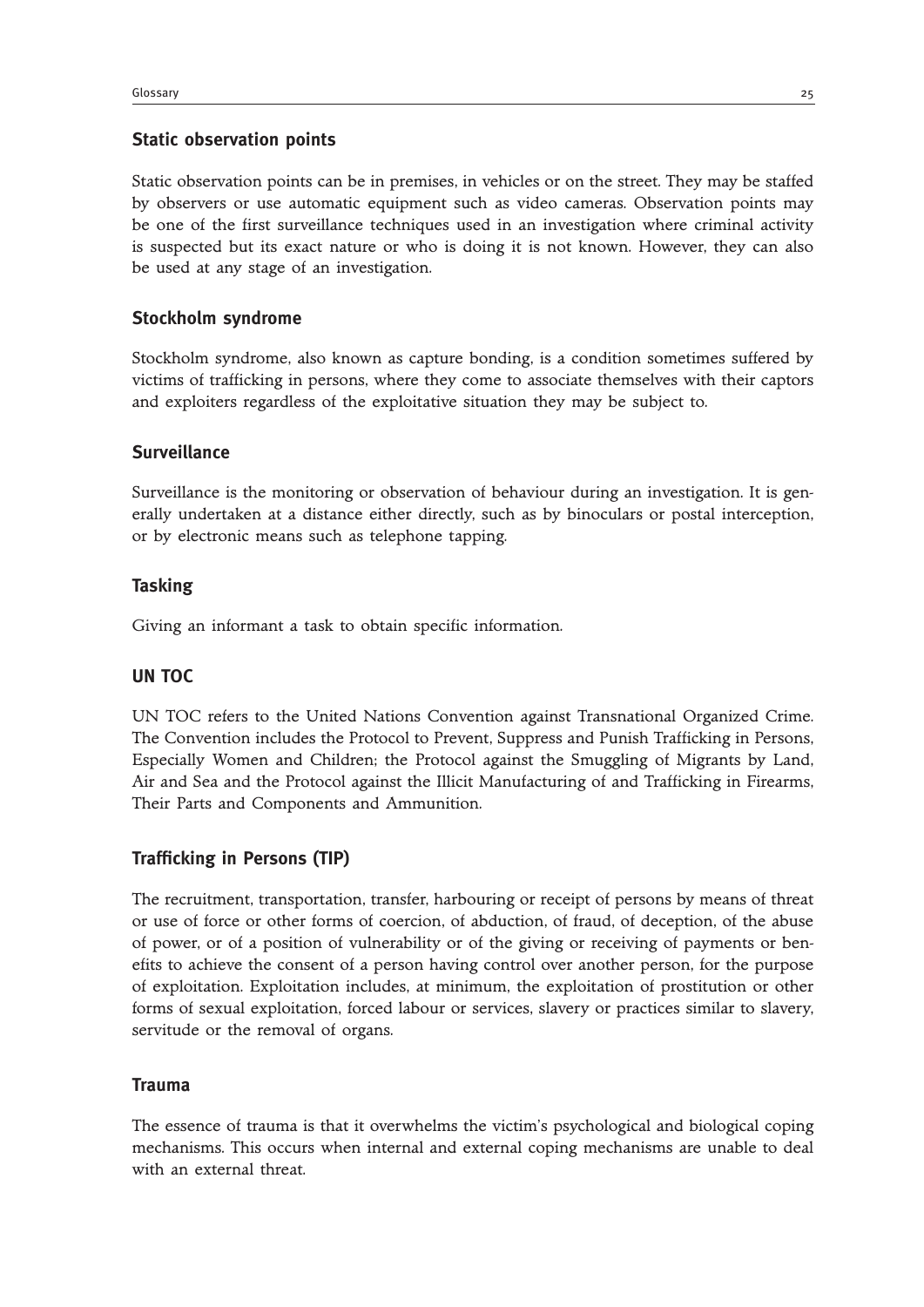#### **Static observation points**

Static observation points can be in premises, in vehicles or on the street. They may be staffed by observers or use automatic equipment such as video cameras. Observation points may be one of the first surveillance techniques used in an investigation where criminal activity is suspected but its exact nature or who is doing it is not known. However, they can also be used at any stage of an investigation.

#### **Stockholm syndrome**

Stockholm syndrome, also known as capture bonding, is a condition sometimes suffered by victims of trafficking in persons, where they come to associate themselves with their captors and exploiters regardless of the exploitative situation they may be subject to.

#### **Surveillance**

Surveillance is the monitoring or observation of behaviour during an investigation. It is generally undertaken at a distance either directly, such as by binoculars or postal interception, or by electronic means such as telephone tapping.

#### **Tasking**

Giving an informant a task to obtain specific information.

#### **UN TOC**

UN TOC refers to the United Nations Convention against Transnational Organized Crime. The Convention includes the Protocol to Prevent, Suppress and Punish Trafficking in Persons, Especially Women and Children; the Protocol against the Smuggling of Migrants by Land, Air and Sea and the Protocol against the Illicit Manufacturing of and Trafficking in Firearms, Their Parts and Components and Ammunition.

#### **Trafficking in Persons (TIP)**

The recruitment, transportation, transfer, harbouring or receipt of persons by means of threat or use of force or other forms of coercion, of abduction, of fraud, of deception, of the abuse of power, or of a position of vulnerability or of the giving or receiving of payments or benefits to achieve the consent of a person having control over another person, for the purpose of exploitation. Exploitation includes, at minimum, the exploitation of prostitution or other forms of sexual exploitation, forced labour or services, slavery or practices similar to slavery, servitude or the removal of organs.

#### **Trauma**

The essence of trauma is that it overwhelms the victim's psychological and biological coping mechanisms. This occurs when internal and external coping mechanisms are unable to deal with an external threat.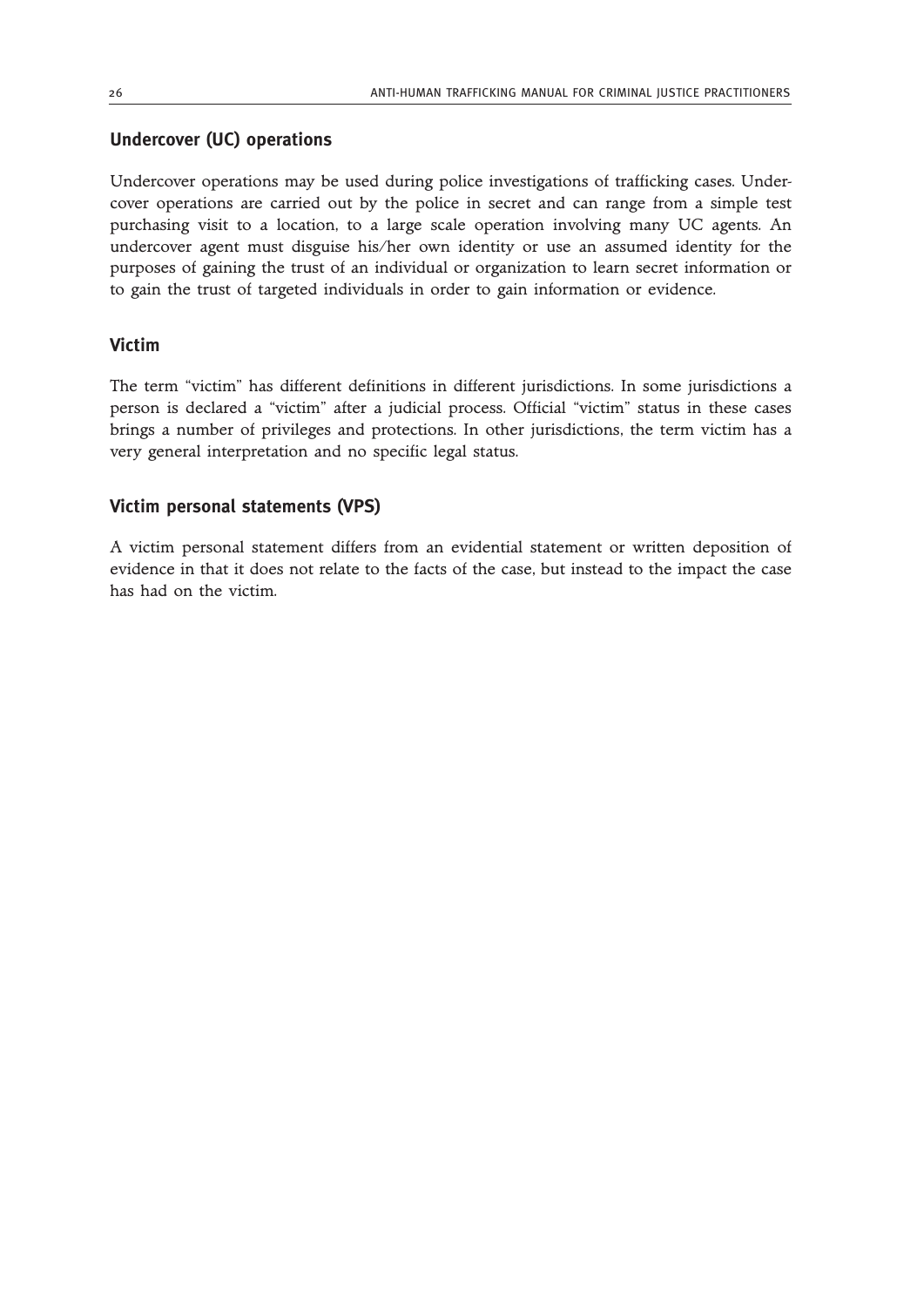#### **Undercover (UC) operations**

Undercover operations may be used during police investigations of trafficking cases. Undercover operations are carried out by the police in secret and can range from a simple test purchasing visit to a location, to a large scale operation involving many UC agents. An undercover agent must disguise his/her own identity or use an assumed identity for the purposes of gaining the trust of an individual or organization to learn secret information or to gain the trust of targeted individuals in order to gain information or evidence.

#### **Victim**

The term "victim" has different definitions in different jurisdictions. In some jurisdictions a person is declared a "victim" after a judicial process. Official "victim" status in these cases brings a number of privileges and protections. In other jurisdictions, the term victim has a very general interpretation and no specific legal status.

#### **Victim personal statements (VPS)**

A victim personal statement differs from an evidential statement or written deposition of evidence in that it does not relate to the facts of the case, but instead to the impact the case has had on the victim.